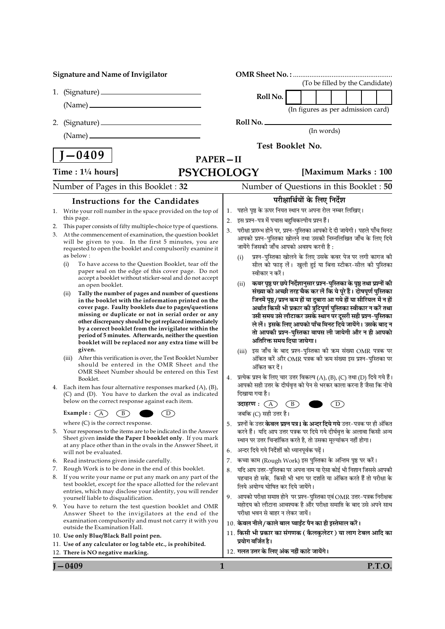| <b>Signature and Name of Invigilator</b> |                                                         |                                                                                                                             |                 |                                                                                                                                                                    |                                    |               |  |        |
|------------------------------------------|---------------------------------------------------------|-----------------------------------------------------------------------------------------------------------------------------|-----------------|--------------------------------------------------------------------------------------------------------------------------------------------------------------------|------------------------------------|---------------|--|--------|
|                                          |                                                         |                                                                                                                             |                 |                                                                                                                                                                    | (To be filled by the Candidate)    |               |  |        |
|                                          |                                                         |                                                                                                                             |                 | Roll No.                                                                                                                                                           |                                    |               |  |        |
|                                          |                                                         |                                                                                                                             |                 |                                                                                                                                                                    | (In figures as per admission card) |               |  |        |
| 2.                                       |                                                         |                                                                                                                             |                 | Roll No.                                                                                                                                                           |                                    |               |  |        |
|                                          |                                                         |                                                                                                                             |                 |                                                                                                                                                                    | (In words)                         |               |  |        |
|                                          |                                                         |                                                                                                                             |                 | Test Booklet No.                                                                                                                                                   |                                    |               |  |        |
|                                          | $\mid$ J $-0409$                                        |                                                                                                                             | <b>PAPER-II</b> |                                                                                                                                                                    |                                    |               |  |        |
|                                          | Time : $1\frac{1}{4}$ hours]                            | <b>PSYCHOLOGY</b>                                                                                                           |                 |                                                                                                                                                                    | [Maximum Marks: 100                |               |  |        |
|                                          |                                                         | Number of Pages in this Booklet: 32                                                                                         |                 | Number of Questions in this Booklet: 50                                                                                                                            |                                    |               |  |        |
|                                          |                                                         | Instructions for the Candidates                                                                                             |                 |                                                                                                                                                                    | परीक्षार्थियों के लिए निर्देश      |               |  |        |
|                                          |                                                         | 1. Write your roll number in the space provided on the top of                                                               |                 | पहले पृष्ठ के ऊपर नियत स्थान पर अपना रोल नम्बर लिखिए।                                                                                                              |                                    |               |  |        |
|                                          | this page.                                              |                                                                                                                             | 2.              | इस प्रश्न–पत्र में पचास बहुविकल्पीय प्रश्न हैं।                                                                                                                    |                                    |               |  |        |
| 2.<br>3.                                 |                                                         | This paper consists of fifty multiple-choice type of questions.<br>At the commencement of examination, the question booklet | 3.              | परीक्षा प्रारम्भ होने पर, प्रश्न-पुस्तिका आपको दे दी जायेगी। पहले पाँच मिनट                                                                                        |                                    |               |  |        |
|                                          |                                                         | will be given to you. In the first 5 minutes, you are                                                                       |                 | आपको प्रश्न-पुस्तिका खोलने तथा उसकी निम्नलिखित जाँच के लिए दिये<br>जायेंगे जिसकी जाँच आपको अवश्य करनी है :                                                         |                                    |               |  |        |
|                                          | as below:                                               | requested to open the booklet and compulsorily examine it                                                                   |                 | प्रश्न-पुस्तिका खोलने के लिए उसके कवर पेज पर लगी कागज की<br>(i)                                                                                                    |                                    |               |  |        |
|                                          | (i)                                                     | To have access to the Question Booklet, tear off the                                                                        |                 | सील को फाड़ लें। खुली हुई या बिना स्टीकर-सील की पुस्तिका                                                                                                           |                                    |               |  |        |
|                                          |                                                         | paper seal on the edge of this cover page. Do not<br>accept a booklet without sticker-seal and do not accept                |                 | स्वीकार न करें।                                                                                                                                                    |                                    |               |  |        |
|                                          | an open booklet.                                        |                                                                                                                             |                 | कवर पृष्ठ पर छपे निर्देशानुसार प्रश्न-पुस्तिका के पृष्ठ तथा प्रश्नों की<br>(ii)                                                                                    |                                    |               |  |        |
|                                          | (ii)                                                    | Tally the number of pages and number of questions<br>in the booklet with the information printed on the                     |                 | संख्या को अच्छी तरह चैक कर लें कि ये पूरे हैं। दोषपूर्ण पुस्तिका<br>जिनमें पृष्ठ/प्रश्न कम हों या दुबारा आ गये हों या सीरियल में न हों                             |                                    |               |  |        |
|                                          |                                                         | cover page. Faulty booklets due to pages/questions                                                                          |                 | अर्थात किसी भी प्रकार की त्रुटिपूर्ण पुस्तिका स्वीकार न करें तथा                                                                                                   |                                    |               |  |        |
|                                          |                                                         | missing or duplicate or not in serial order or any<br>other discrepancy should be got replaced immediately                  |                 | उसी समय उसे लौटाकर उसके स्थान पर दूसरी सही प्रश्न-पुस्तिका                                                                                                         |                                    |               |  |        |
|                                          |                                                         | by a correct booklet from the invigilator within the                                                                        |                 | ले लें। इसके लिए आपको पाँच मिनट दिये जायेंगे। उसके बाद न<br>तो आपकी प्रश्न-पुस्तिका वापस ली जायेगी और न ही आपको                                                    |                                    |               |  |        |
|                                          |                                                         | period of 5 minutes. Afterwards, neither the question<br>booklet will be replaced nor any extra time will be                |                 | अतिरिक्त समय दिया जायेगा।                                                                                                                                          |                                    |               |  |        |
|                                          | given.                                                  |                                                                                                                             |                 | (iii) इस जाँच के बाद प्रश्न-पुस्तिका की क्रम संख्या OMR पत्रक पर                                                                                                   |                                    |               |  |        |
|                                          | (iii)                                                   | After this verification is over, the Test Booklet Number<br>should be entered in the OMR Sheet and the                      |                 | अंकित करें और OMR पत्रक की क्रम संख्या इस प्रश्न-पुस्तिका पर<br>अंकित कर दें।                                                                                      |                                    |               |  |        |
|                                          | Booklet.                                                | OMR Sheet Number should be entered on this Test                                                                             | 4.              | प्रत्येक प्रश्न के लिए चार उत्तर विकल्प (A), (B), (C) तथा (D) दिये गये हैं।                                                                                        |                                    |               |  |        |
|                                          |                                                         | 4. Each item has four alternative responses marked $(A)$ , $(B)$ ,                                                          |                 | आपको सही उत्तर के दीर्घवृत्त को पेन से भरकर काला करना है जैसा कि नीचे                                                                                              |                                    |               |  |        |
|                                          |                                                         | (C) and (D). You have to darken the oval as indicated                                                                       |                 | दिखाया गया है।                                                                                                                                                     |                                    |               |  |        |
|                                          |                                                         | below on the correct response against each item.                                                                            |                 | उदाहरण: $(A)$ $(B)$                                                                                                                                                |                                    | $\circled{D}$ |  |        |
|                                          | Example : $(A)$<br>where $(C)$ is the correct response. | $\, {\bf B}$<br>D)                                                                                                          |                 | जबकि (C) सही उत्तर है।                                                                                                                                             |                                    |               |  |        |
| 5.                                       |                                                         | Your responses to the items are to be indicated in the Answer                                                               |                 | 5. प्रश्नों के उत्तर <b>केवल प्रश्न पत्र I के अन्दर दिये गये</b> उत्तर-पत्रक पर ही अंकित<br>करने हैं। यदि आप उत्तर पत्रक पर दिये गये दीर्घवृत्त के अलावा किसी अन्य |                                    |               |  |        |
|                                          |                                                         | Sheet given inside the Paper I booklet only. If you mark                                                                    |                 | स्थान पर उत्तर चिन्हांकित करते है, तो उसका मूल्यांकन नहीं होगा।                                                                                                    |                                    |               |  |        |
|                                          | will not be evaluated.                                  | at any place other than in the ovals in the Answer Sheet, it                                                                | 6.              | अन्दर दिये गये निर्देशों को ध्यानपूर्वक पढ़ें।                                                                                                                     |                                    |               |  |        |
| 6.                                       |                                                         | Read instructions given inside carefully.                                                                                   | 7.              | कच्चा काम (Rough Work) इस पुस्तिका के अन्तिम पृष्ठ पर करें।                                                                                                        |                                    |               |  |        |
| 7.                                       |                                                         | Rough Work is to be done in the end of this booklet.                                                                        | 8.              | यदि आप उत्तर-पुस्तिका पर अपना नाम या ऐसा कोई भी निशान जिससे आपकी                                                                                                   |                                    |               |  |        |
| 8.                                       |                                                         | If you write your name or put any mark on any part of the<br>test booklet, except for the space allotted for the relevant   |                 | पहचान हो सके,  किसी भी भाग पर दर्शाते या अंकित करते हैं तो परीक्षा के<br>लिये अयोग्य घोषित कर दिये जायेंगे।                                                        |                                    |               |  |        |
|                                          |                                                         | entries, which may disclose your identity, you will render                                                                  | 9.              | आपको परीक्षा समाप्त होने पर प्रश्न-पुस्तिका एवं OMR उत्तर-पत्रक निरीक्षक                                                                                           |                                    |               |  |        |
|                                          | yourself liable to disqualification.                    | 9. You have to return the test question booklet and OMR                                                                     |                 | महोदय को लौटाना आवश्यक है और परीक्षा समाप्ति के बाद उसे अपने साथ                                                                                                   |                                    |               |  |        |
|                                          |                                                         | Answer Sheet to the invigilators at the end of the                                                                          |                 | परीक्षा भवन से बाहर न लेकर जायें।                                                                                                                                  |                                    |               |  |        |
|                                          | outside the Examination Hall.                           | examination compulsorily and must not carry it with you                                                                     |                 | 10. केवल नीले/काले बाल प्वाईंट पैन का ही इस्तेमाल करें।                                                                                                            |                                    |               |  |        |
|                                          |                                                         | 10. Use only Blue/Black Ball point pen.                                                                                     |                 | 11. किसी भी प्रकार का संगणक ( कैलकुलेटर ) या लाग टेबल आदि का<br>प्रयोग वर्जित है।                                                                                  |                                    |               |  |        |
|                                          | 12. There is NO negative marking.                       | 11. Use of any calculator or log table etc., is prohibited.                                                                 |                 | 12. गलत उत्तर के लिए अंक नहीं काटे जायेंगे।                                                                                                                        |                                    |               |  |        |
|                                          |                                                         |                                                                                                                             |                 |                                                                                                                                                                    |                                    |               |  |        |
|                                          | $J - 0409$                                              |                                                                                                                             | $\mathbf{1}$    |                                                                                                                                                                    |                                    |               |  | P.T.O. |

**P.T.O.**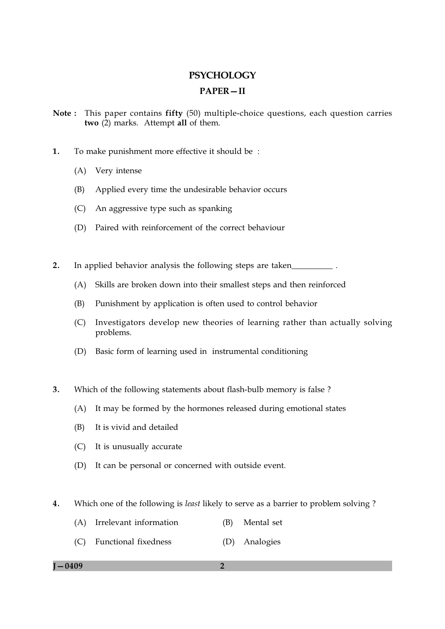# **PSYCHOLOGY PAPER-II**

- Note: This paper contains fifty (50) multiple-choice questions, each question carries two (2) marks. Attempt all of them.
- $\mathbf{1}$ . To make punishment more effective it should be:
	- (A) Very intense
	- $(B)$ Applied every time the undesirable behavior occurs
	- (C) An aggressive type such as spanking
	- (D) Paired with reinforcement of the correct behaviour
- $2.$ In applied behavior analysis the following steps are taken
	- Skills are broken down into their smallest steps and then reinforced  $(A)$
	- Punishment by application is often used to control behavior (B)
	- (C) Investigators develop new theories of learning rather than actually solving problems.
	- (D) Basic form of learning used in instrumental conditioning
- $3.$ Which of the following statements about flash-bulb memory is false?
	- (A) It may be formed by the hormones released during emotional states
	- It is vivid and detailed (B)
	- (C) It is unusually accurate
	- (D) It can be personal or concerned with outside event.
- $\overline{4}$ . Which one of the following is *least* likely to serve as a barrier to problem solving?
	- (A) Irrelevant information (B) Mental set
	- (C) Functional fixedness (D) Analogies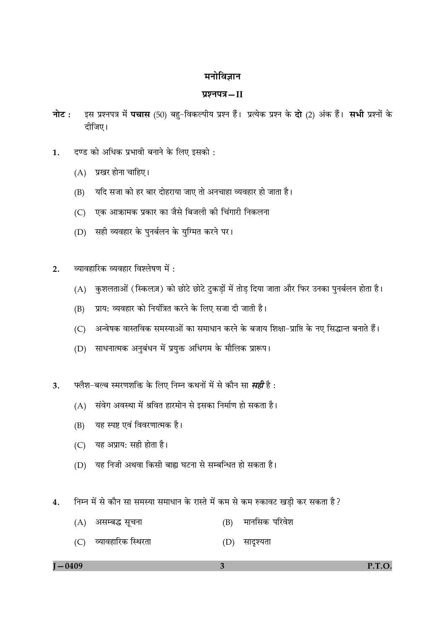# मनोविज्ञान

# प्रश्नपत्र-II

- इस प्रश्नपत्र में **पचास** (50) बहु-विकल्पीय प्रश्न हैं। प्रत्येक प्रश्न के **दो** (2) अंक हैं। सभी प्रश्नों के नोट : दीजिए।
- दण्ड को अधिक प्रभावी बनाने के लिए इसको : 1.
	- (A) प्रखर होना चाहिए।
	- यदि सजा को हर बार दोहराया जाए तो अनचाहा व्यवहार हो जाता है। (B)
	- एक आक्रामक प्रकार का जैसे बिजली की चिंगारी निकलना  $(C)$
	- (D) सही व्यवहार के पुनर्बलन के युग्मित करने पर।
- व्यावहारिक व्यवहार विश्लेषण में :  $2<sub>1</sub>$ 
	- (A) कुशलताओं (स्किलज़) को छोटे छोटे टुकडों में तोड दिया जाता और फिर उनका पुनर्बलन होता है।
	- प्राय: व्यवहार को नियंत्रित करने के लिए सजा दी जाती है। (B)
	- अन्वेषक वास्तविक समस्याओं का समाधान करने के बजाय शिक्षा-प्राप्ति के नए सिद्धान्त बनाते हैं।  $(C)$
	- (D) साधनात्मक अनुबंधन में प्रयुक्त अधिगम के मौलिक प्रारूप।
- फ्लैश-बल्ब स्मरणशक्ति के लिए निम्न कथनों में से कौन सा *सही* है :  $3.$ 
	- (A) संवेग अवस्था में श्रवित हारमोन से इसका निर्माण हो सकता है।
	- यह स्पष्ट एवं विवरणात्मक है।  $(B)$
	- (C) यह अप्राय: सही होता है।
	- (D) यह निजी अथवा किसी बाह्य घटना से सम्बन्धित हो सकता है।
- $\overline{4}$ . निम्न में से कौन सा समस्या समाधान के रास्ते में कम से कम रुकावट खड़ी कर सकता है?
	- (B) मानसिक परिवेश (A) असम्बद्ध सूचना
	- (C) व्यावहारिक स्थिरता (D) सादृश्यता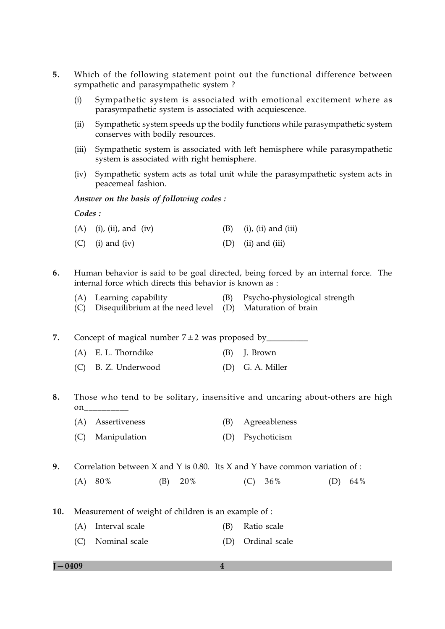- $5<sub>1</sub>$ Which of the following statement point out the functional difference between sympathetic and parasympathetic system?
	- Sympathetic system is associated with emotional excitement where as  $(i)$ parasympathetic system is associated with acquiescence.
	- Sympathetic system speeds up the bodily functions while parasympathetic system  $(ii)$ conserves with bodily resources.
	- Sympathetic system is associated with left hemisphere while parasympathetic  $(iii)$ system is associated with right hemisphere.
	- (iv) Sympathetic system acts as total unit while the parasympathetic system acts in peacemeal fashion.

Answer on the basis of following codes :

## Codes:

| $(A)$ (i), (ii), and (iv) | $(i)$ , (ii) and (iii) |
|---------------------------|------------------------|
| $(C)$ (i) and (iv)        | $(D)$ (ii) and (iii)   |

- 6. Human behavior is said to be goal directed, being forced by an internal force. The internal force which directs this behavior is known as :
	- Psycho-physiological strength (A) Learning capability  $(B)$
	- $(C)$  Disequilibrium at the need level  $(D)$  Maturation of brain

7. (A) E. L. Thorndike  $(B)$  I. Brown

(C) B. Z. Underwood (D) G. A. Miller

Those who tend to be solitary, insensitive and uncaring about-others are high 8. on

- (A) Assertiveness (B) Agreeableness
- (C) Manipulation (D) Psychoticism

9. Correlation between  $X$  and  $Y$  is 0.80. Its  $X$  and  $Y$  have common variation of :

- $(A) 80%$ (B) 20%  $(C) 36%$ (D)  $64\%$
- Measurement of weight of children is an example of :  $10.$ 
	- (A) Interval scale (B) Ratio scale
	- (C) Nominal scale (D) Ordinal scale

 $I - 0409$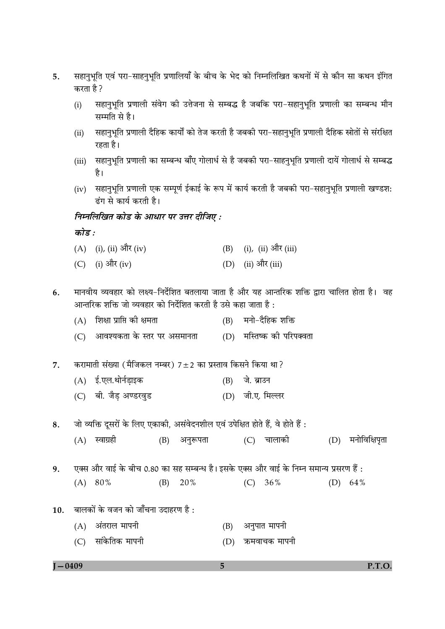- सहानुभूति एवं परा-साहनुभूति प्रणालियाँ के बीच के भेद को निम्नलिखित कथनों में से कौन सा कथन इंगित 5. करता है ?
	- सहानुभूति प्रणाली संवेग की उत्तेजना से सम्बद्ध है जबकि परा-सहानुभूति प्रणाली का सम्बन्ध मौन  $(i)$ सम्मति से है।
	- सहानुभूति प्रणाली दैहिक कार्यों को तेज करती है जबकी परा–सहानुभूति प्रणाली दैहिक स्रोतों से संरक्षित  $(ii)$ रहता है।
	- सहानुभूति प्रणाली का सम्बन्ध बाँए गोलार्ध से है जबकी परा-साहनुभूति प्रणाली दायें गोलार्ध से सम्बद्ध  $(iii)$ है।
	- (iv) सहानुभूति प्रणाली एक सम्पूर्ण ईकाई के रूप में कार्य करती है जबकी परा-सहानुभूति प्रणाली खण्डश: ढंग से कार्य करती है।

# निम्नलिखित कोड के आधार पर उत्तर दीजिए :

कोड :

- (A) (i), (ii) और (iv)  $(B)$  (i), (ii) और (iii) (C) (i) और (iv) (D) (ii) और (iii)
- मानवीय व्यवहार को लक्ष्य-निर्देशित बतलाया जाता है और यह आन्तरिक शक्ति द्वारा चालित होता है। वह 6. आन्तरिक शक्ति जो व्यवहार को निर्देशित करती है उसे कहा जाता है :
	- (A) शिक्षा प्राप्ति की क्षमता (B) मनो-दैहिक शक्ति
	- (D) मस्तिष्क की परिपक्वता (C) आवश्यकता के स्तर पर असमानता
- करामाती संख्या (मैजिकल नम्बर) 7±2 का प्रस्ताव किसने किया था?  $\overline{7}$ .
	- (A) ई.एल.थोर्नडाइक (B) जे. ब्राउन
	- (C) बी. जैड अण्डरवुड (D) जी.ए. मिल्लर
- जो व्यक्ति दूसरों के लिए एकाकी, असंवेदनशील एवं उपेक्षित होते हैं, वे होते हैं: 8.
	- $(A)$  स्वाग्रही (B) अनुरूपता
- एक्स और वाई के बीच 0.80 का सह सम्बन्ध है। इसके एक्स और वाई के निम्न समान्य प्रसरण हैं :  $9<sub>1</sub>$ 
	- $(A) 80%$  $(B)$  20%  $(C) 36%$ (D)  $64\%$
- बालकों के वजन को जाँचना उदाहरण है :  $10.$ 
	- $(A)$  अंतराल मापनी (B) अनुपात मापनी
	- (C) सांकेतिक मापनी (D) ऋमवाचक मापनी

 $I - 0409$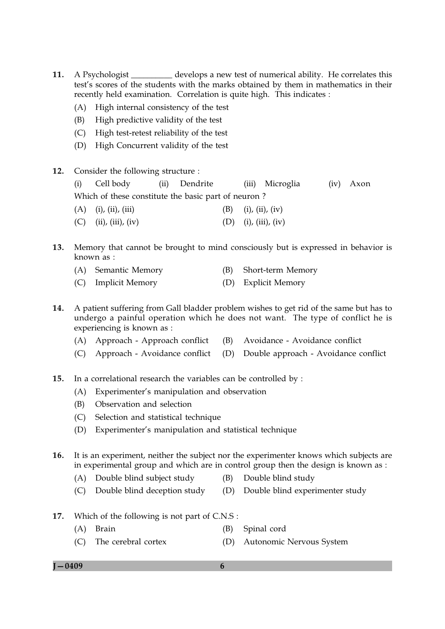- 11. A Psychologist develops a new test of numerical ability. He correlates this test's scores of the students with the marks obtained by them in mathematics in their recently held examination. Correlation is quite high. This indicates :
	- (A) High internal consistency of the test
	- High predictive validity of the test  $(B)$
	- (C) High test-retest reliability of the test
	- (D) High Concurrent validity of the test
- 12. Consider the following structure :

 $(ii)$ Cell body Dendrite (iii) Microglia  $(iv)$  Axon  $(i)$ Which of these constitute the basic part of neuron?

- $(A)$  (i), (ii), (iii) (B)  $(i)$ ,  $(ii)$ ,  $(iv)$
- $(D)$  (i), (iii), (iv)  $(C)$  (ii), (iii), (iv)
- 13. Memory that cannot be brought to mind consciously but is expressed in behavior is known as :
	- (A) Semantic Memory Short-term Memory (B)
	- (C) Implicit Memory (D) Explicit Memory
- 14. A patient suffering from Gall bladder problem wishes to get rid of the same but has to undergo a painful operation which he does not want. The type of conflict he is experiencing is known as :
	- (B) Avoidance Avoidance conflict (A) Approach - Approach conflict
	- (C) Approach Avoidance conflict (D) Double approach - Avoidance conflict
- $15.$ In a correlational research the variables can be controlled by :
	- (A) Experimenter's manipulation and observation
	- Observation and selection (B)
	- (C) Selection and statistical technique
	- (D) Experimenter's manipulation and statistical technique
- It is an experiment, neither the subject nor the experimenter knows which subjects are **16.** in experimental group and which are in control group then the design is known as :
	- (A) Double blind subject study (B) Double blind study
	- (C) Double blind deception study (D) Double blind experimenter study
- 17. Which of the following is not part of C.N.S:
	- (A) Brain (B) Spinal cord
	- The cerebral cortex (D) Autonomic Nervous System  $(C)$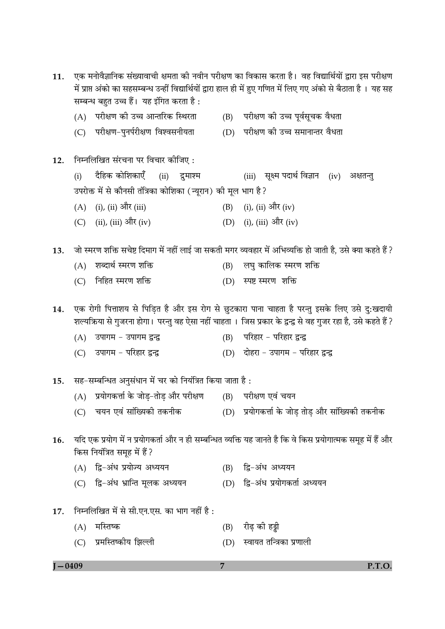| 11.        | एक मनोवैज्ञानिक संख्यावाची क्षमता की नवीन परीक्षण का विकास करता है।  वह विद्यार्थियों द्वारा इस परीक्षण<br>में प्राप्त अंको का सहसम्बन्ध उन्हीं विद्यार्थियों द्वारा हाल ही में हुए गणित में लिए गए अंको से बैठाता है । यह सह<br>सम्बन्ध बहुत उच्च हैं।  यह इंगित करता है : |                                                                       |                |                                                                                                                                                                                                                 |  |  |  |  |  |
|------------|-----------------------------------------------------------------------------------------------------------------------------------------------------------------------------------------------------------------------------------------------------------------------------|-----------------------------------------------------------------------|----------------|-----------------------------------------------------------------------------------------------------------------------------------------------------------------------------------------------------------------|--|--|--|--|--|
|            |                                                                                                                                                                                                                                                                             | (A) परीक्षण की उच्च आन्तरिक स्थिरता                                   |                | (B) परीक्षण की उच्च पूर्वसूचक वैधता                                                                                                                                                                             |  |  |  |  |  |
|            | (C)                                                                                                                                                                                                                                                                         | परीक्षण-पुनर्परीक्षण विश्वसनीयता                                      |                | (D) परीक्षण की उच्च समानान्तर वैधता                                                                                                                                                                             |  |  |  |  |  |
| 12.        |                                                                                                                                                                                                                                                                             | निम्नलिखित संरचना पर विचार कोजिए :                                    |                |                                                                                                                                                                                                                 |  |  |  |  |  |
|            | (i)                                                                                                                                                                                                                                                                         | दैहिक कोशिकाएँ (ii) दुमाश्म                                           |                | (iii)    सूक्ष्म पदार्थ विज्ञान<br>(iv)<br>अक्षतन्तु                                                                                                                                                            |  |  |  |  |  |
|            |                                                                                                                                                                                                                                                                             | उपरोक्त में से कौनसी तंत्रिका कोशिका (न्यूरान) की मूल भाग है?         |                |                                                                                                                                                                                                                 |  |  |  |  |  |
|            | (A)                                                                                                                                                                                                                                                                         | (i), (ii) और (iii)                                                    | (B)            | (i), (ii) और (iv)                                                                                                                                                                                               |  |  |  |  |  |
|            |                                                                                                                                                                                                                                                                             | (C) (ii), (iii) और (iv)                                               |                | (D) (i), (iii) और (iv)                                                                                                                                                                                          |  |  |  |  |  |
| 13.        |                                                                                                                                                                                                                                                                             |                                                                       |                | ैजो स्मरण शक्ति सचेष्ट दिमाग में नहीं लाई जा सकती मगर व्यवहार में अभिव्यक्ति हो जाती है, उसे क्या कहते हैं                                                                                                      |  |  |  |  |  |
|            | (A)                                                                                                                                                                                                                                                                         | शब्दार्थ स्मरण शक्ति                                                  | (B)            | लघु कालिक स्मरण शक्ति                                                                                                                                                                                           |  |  |  |  |  |
|            | (C)                                                                                                                                                                                                                                                                         | निहित स्मरण शक्ति                                                     |                | (D) स्पष्ट स्मरण शक्ति                                                                                                                                                                                          |  |  |  |  |  |
| 14.        |                                                                                                                                                                                                                                                                             |                                                                       |                | एक रोगी पित्ताशय से पिड़ित है और इस रोग से छुटकारा पाना चाहता है परन्तु इसके लिए उसे दु:खदायी<br>शल्यक्रिया से गुजरना होगा। परन्तु वह ऐसा नहीं चाहता । जिस प्रकार के द्वन्द्व से वह गुजर रहा है, उसे कहते हैं ? |  |  |  |  |  |
|            | (A)                                                                                                                                                                                                                                                                         | उपागम – उपागम द्वन्द्व                                                |                | (B) परिहार - परिहार द्वन्द्व                                                                                                                                                                                    |  |  |  |  |  |
|            | (C)                                                                                                                                                                                                                                                                         | उपागम – परिहार द्वन्द्व                                               |                | (D) दोहरा - उपागम - परिहार द्वन्द्व                                                                                                                                                                             |  |  |  |  |  |
| 15.        |                                                                                                                                                                                                                                                                             | सह-सम्बन्धित अनुसंधान में चर को नियंत्रित किया जाता है :              |                |                                                                                                                                                                                                                 |  |  |  |  |  |
|            |                                                                                                                                                                                                                                                                             | (A) प्रयोगकर्त्ता के जोड़-तोड़ और परीक्षण      (B)    परीक्षण एवं चयन |                |                                                                                                                                                                                                                 |  |  |  |  |  |
|            | (C)                                                                                                                                                                                                                                                                         | चयन एवं सांख्यिकी तकनीक                                               |                | (D) प्रयोगकर्त्ता के जोड़ तोड़ और सांख्यिकी तकनीक                                                                                                                                                               |  |  |  |  |  |
| 16.        |                                                                                                                                                                                                                                                                             | किस नियंत्रित समूह में हैं ?                                          |                | यदि एक प्रयोग में न प्रयोगकर्ता और न ही सम्बन्धित व्यक्ति यह जानते है कि वे किस प्रयोगात्मक समूह में हैं और                                                                                                     |  |  |  |  |  |
|            |                                                                                                                                                                                                                                                                             | (A) द्वि-अंध प्रयोज्य अध्ययन                                          | (B)            | द्वि-अंध अध्ययन                                                                                                                                                                                                 |  |  |  |  |  |
|            |                                                                                                                                                                                                                                                                             | (C) द्वि-अंध भ्रान्ति मूलक अध्ययन                                     | (D)            | द्वि-अंध प्रयोगकर्ता अध्ययन                                                                                                                                                                                     |  |  |  |  |  |
| 17.        |                                                                                                                                                                                                                                                                             | निम्नलिखित में से सी.एन.एस. का भाग नहीं है :                          |                |                                                                                                                                                                                                                 |  |  |  |  |  |
|            | (A)                                                                                                                                                                                                                                                                         | मस्तिष्क                                                              | (B)            | रीढ़ की हड्डी                                                                                                                                                                                                   |  |  |  |  |  |
|            | (C)                                                                                                                                                                                                                                                                         | प्रमस्तिष्कीय झिल्ली                                                  | (D)            | स्वायत तन्त्रिका प्रणाली                                                                                                                                                                                        |  |  |  |  |  |
| $I - 0409$ |                                                                                                                                                                                                                                                                             |                                                                       | $\overline{7}$ | P.T.O.                                                                                                                                                                                                          |  |  |  |  |  |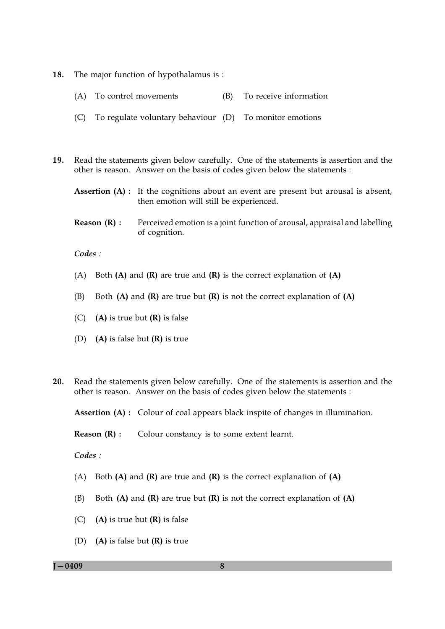- 18. The major function of hypothalamus is:
	- (A) To control movements (B) To receive information
	- (C) To regulate voluntary behaviour (D) To monitor emotions
- 19. Read the statements given below carefully. One of the statements is assertion and the other is reason. Answer on the basis of codes given below the statements :
	- **Assertion (A)**: If the cognitions about an event are present but arousal is absent, then emotion will still be experienced.
	- Reason  $(R)$  : Perceived emotion is a joint function of arousal, appraisal and labelling of cognition.

 $Codes:$ 

- (A) Both (A) and (R) are true and (R) is the correct explanation of (A)
- Both  $(A)$  and  $(R)$  are true but  $(R)$  is not the correct explanation of  $(A)$ (B)
- $(C)$  (A) is true but (R) is false
- (D) (A) is false but  $(R)$  is true
- Read the statements given below carefully. One of the statements is assertion and the  $20.$ other is reason. Answer on the basis of codes given below the statements :

**Assertion (A):** Colour of coal appears black inspite of changes in illumination.

Reason  $(R)$ : Colour constancy is to some extent learnt.

 $Codes$ 

- (A) Both  $(A)$  and  $(R)$  are true and  $(R)$  is the correct explanation of  $(A)$
- Both  $(A)$  and  $(R)$  are true but  $(R)$  is not the correct explanation of  $(A)$  $(B)$
- $(C)$  (A) is true but  $(R)$  is false
- (D) (A) is false but  $(R)$  is true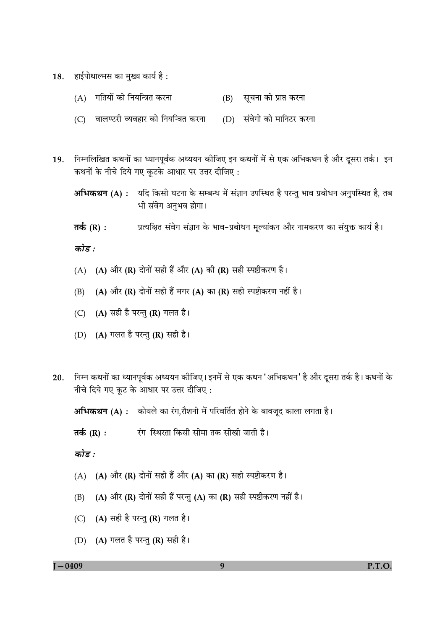- हाईपोथाल्मस का मुख्य कार्य है : 18.
	- (A) गतियों को नियन्त्रित करना (B) सूचना को प्राप्त करना
	- (C) वालण्टरी व्यवहार को नियन्त्रित करना (D) संवेगो को मानिटर करना
- 19. निम्नलिखित कथनों का ध्यानपूर्वक अध्ययन कीजिए इन कथनों में से एक अभिकथन है और दूसरा तर्क। इन कथनों के नीचे दिये गए कूटके आधार पर उत्तर दीजिए:
	- अभिकथन (A) : यदि किसी घटना के सम्बन्ध में संज्ञान उपस्थित है परन्तु भाव प्रबोधन अनुपस्थित है, तब भी संवेग अनुभव होगा।
	- प्रत्यक्षित संवेग संज्ञान के भाव-प्रबोधन मूल्यांकन और नामकरण का संयुक्त कार्य है। तर्क  $(R)$  :

कोड :

- (A) (A) और (R) दोनों सही हैं और (A) की (R) सही स्पष्टीकरण है।
- (A) और (R) दोनों सही हैं मगर (A) का (R) सही स्पष्टीकरण नहीं है।  $(B)$
- (C) (A) सही है परन्तु (R) गलत है।
- (D) (A) गलत है परन्तु (R) सही है।
- निम्न कथनों का ध्यानपूर्वक अध्ययन कीजिए। इनमें से एक कथन 'अभिकथन' है और दूसरा तर्क है। कथनों के 20. नीचे दिये गए कुट के आधार पर उत्तर दीजिए:

अभिकथन (A) : कोयले का रंग,रौशनी में परिवर्तित होने के बावजूद काला लगता है।

तर्क  $(R)$  : रंग–स्थिरता किसी सीमा तक सीखी जाती है।

कोड़ $\cdot$ 

- (A) (A) और (R) दोनों सही हैं और (A) का (R) सही स्पष्टीकरण है।
- (A) और (R) दोनों सही हैं परन्तु (A) का (R) सही स्पष्टीकरण नहीं है।  $(B)$
- (C)  $(A)$  सही है परन्तु (R) गलत है।
- (D) (A) गलत है परन्तु (R) सही है।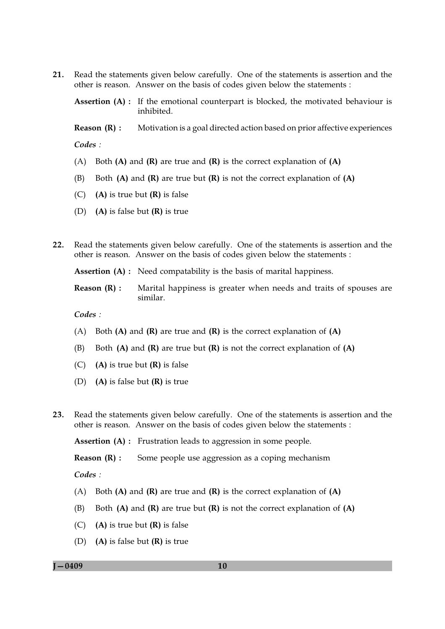$21.$ Read the statements given below carefully. One of the statements is assertion and the other is reason. Answer on the basis of codes given below the statements :

Assertion (A) : If the emotional counterpart is blocked, the motivated behaviour is inhibited.

Reason  $(R)$ : Motivation is a goal directed action based on prior affective experiences Codes:

- (A) Both (A) and (R) are true and (R) is the correct explanation of (A)
- Both  $(A)$  and  $(R)$  are true but  $(R)$  is not the correct explanation of  $(A)$ (B)
- $(C)$ (A) is true but  $(R)$  is false
- (D) (A) is false but  $(R)$  is true
- $22.$ Read the statements given below carefully. One of the statements is assertion and the other is reason. Answer on the basis of codes given below the statements :

**Assertion (A)**: Need compatability is the basis of marital happiness.

Reason  $(R)$  : Marital happiness is greater when needs and traits of spouses are similar.

Codes:

- (A) Both (A) and (R) are true and (R) is the correct explanation of (A)
- Both  $(A)$  and  $(R)$  are true but  $(R)$  is not the correct explanation of  $(A)$  $(B)$
- $(C)$  (A) is true but  $(R)$  is false
- (D) (A) is false but  $(R)$  is true
- $23.$ Read the statements given below carefully. One of the statements is assertion and the other is reason. Answer on the basis of codes given below the statements :

**Assertion (A) :** Frustration leads to aggression in some people.

Reason  $(R)$  : Some people use aggression as a coping mechanism

 $Codes:$ 

- (A) Both  $(A)$  and  $(R)$  are true and  $(R)$  is the correct explanation of  $(A)$
- Both  $(A)$  and  $(R)$  are true but  $(R)$  is not the correct explanation of  $(A)$ (B)
- (A) is true but  $(R)$  is false  $(C)$
- (D) (A) is false but  $(R)$  is true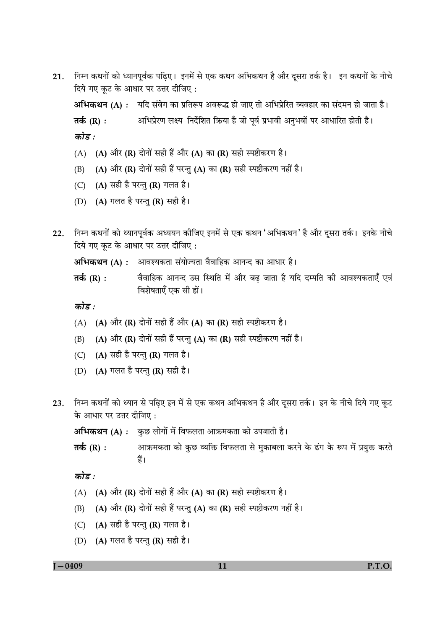निम्न कथनों को ध्यानपूर्वक पढ़िए। इनमें से एक कथन अभिकथन है और दूसरा तर्क है। इन कथनों के नीचे 21. दिये गए कूट के आधार पर उत्तर दीजिए:

अभिकथन (A) : यदि संवेग का प्रतिरूप अवरूद्ध हो जाए तो अभिप्रेरित व्यवहार का संदमन हो जाता है। तर्क $(R):$ अभिप्रेरण लक्ष्य-निर्देशित क्रिया है जो पर्व प्रभावी अनभवों पर आधारित होती है। कोड़ $\cdot$ 

- (A) (A) और (R) दोनों सही हैं और (A) का (R) सही स्पष्टीकरण है।
- (A) और (R) दोनों सही हैं परन्तु (A) का (R) सही स्पष्टीकरण नहीं है।  $(B)$
- (C)  $(A)$  सही है परन्तु (R) गलत है।
- (D) (A) गलत है परन्तु (R) सही है।
- $22.$ निम्न कथनों को ध्यानपूर्वक अध्ययन कोजिए इनमें से एक कथन 'अभिकथन' है और दुसरा तर्क। इनके नीचे दिये गए कूट के आधार पर उत्तर दीजिए:

अभिकथन (A) : आवश्यकता संयोज्यता वैवाहिक आनन्द का आधार है।

तर्क  $(R)$ : वैवाहिक आनन्द उस स्थिति में और बढ जाता है यदि दम्पति की आवश्यकताएँ एवं विशेषताएँ एक सी हों।

कोड $\cdot$ 

- (A) (A) और (R) दोनों सही हैं और (A) का (R) सही स्पष्टीकरण है।
- (A) और (R) दोनों सही हैं परन्तु (A) का (R) सही स्पष्टीकरण नहीं है।  $(B)$
- (C) (A) सही है परन्तु (R) गलत है।
- (D) (A) गलत है परन्तु (R) सही है।
- 23. निम्न कथनों को ध्यान से पढ़िए इन में से एक कथन अभिकथन है और दूसरा तर्क। इन के नीचे दिये गए कूट के आधार पर उत्तर दीजिए:

अभिकथन (A) : कुछ लोगों में विफलता आक्रमकता को उपजाती है।

आक्रमकता को कुछ व्यक्ति विफलता से मुकाबला करने के ढंग के रूप में प्रयुक्त करते तर्क  $(R)$ : हैं।

कोड :

- (A) (A) और (R) दोनों सही हैं और (A) का (R) सही स्पष्टीकरण है।
- (A) और (R) दोनों सही हैं परन्तु (A) का (R) सही स्पष्टीकरण नहीं है। (B)
- (C)  $(A)$  सही है परन्तु (R) गलत है।
- (D) (A) गलत है परन्तु (R) सही है।

 $1 - 0409$ 

P.T.O.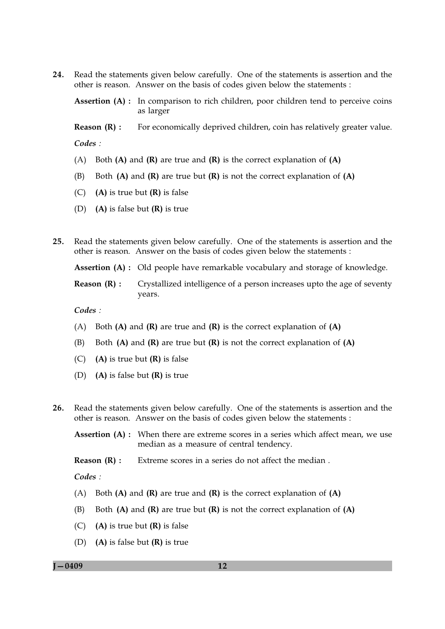24. Read the statements given below carefully. One of the statements is assertion and the other is reason. Answer on the basis of codes given below the statements :

Assertion (A) : In comparison to rich children, poor children tend to perceive coins as larger

For economically deprived children, coin has relatively greater value. Reason  $(R)$ : Codes:

- (A) Both (A) and (R) are true and (R) is the correct explanation of (A)
- Both  $(A)$  and  $(R)$  are true but  $(R)$  is not the correct explanation of  $(A)$  $(B)$
- $(C)$  (A) is true but  $(R)$  is false
- (D) (A) is false but  $(R)$  is true
- Read the statements given below carefully. One of the statements is assertion and the 25. other is reason. Answer on the basis of codes given below the statements :

**Assertion (A)**: Old people have remarkable vocabulary and storage of knowledge.

Crystallized intelligence of a person increases upto the age of seventy Reason  $(R)$ : years.

Codes:

- (A) Both (A) and (R) are true and (R) is the correct explanation of (A)
- Both  $(A)$  and  $(R)$  are true but  $(R)$  is not the correct explanation of  $(A)$ (B)
- $(C)$  (A) is true but (R) is false
- (D) (A) is false but  $(R)$  is true
- Read the statements given below carefully. One of the statements is assertion and the  $26.$ other is reason. Answer on the basis of codes given below the statements :
	- **Assertion (A):** When there are extreme scores in a series which affect mean, we use median as a measure of central tendency.

Reason  $(R)$ : Extreme scores in a series do not affect the median.

Codes:

- (A) Both  $(A)$  and  $(R)$  are true and  $(R)$  is the correct explanation of  $(A)$
- (B) Both  $(A)$  and  $(R)$  are true but  $(R)$  is not the correct explanation of  $(A)$
- $(C)$ (A) is true but  $(R)$  is false
- (D) (A) is false but  $(R)$  is true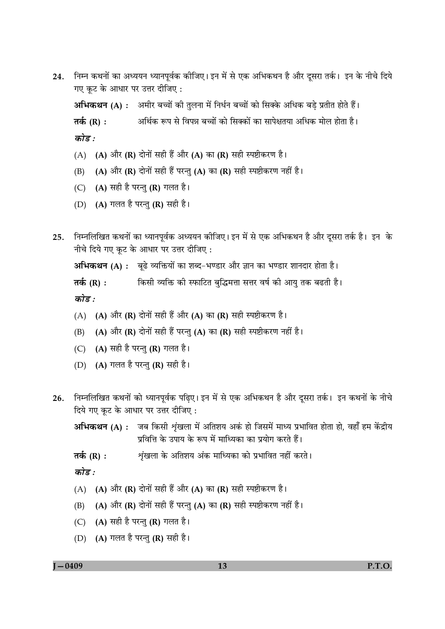निम्न कथनों का अध्ययन ध्यानपूर्वक कीजिए। इन में से एक अभिकथन है और दूसरा तर्क। इन के नीचे दिये 24. गए कुट के आधार पर उत्तर दीजिए:

अभिकथन (A) : अमीर बच्चों की तुलना में निर्धन बच्चों को सिक्के अधिक बड़े प्रतीत होते हैं।

अर्थिक रूप से विपन्न बच्चों को सिक्कों का सापेक्षतया अधिक मोल होता है। तर्क (R) :

कोड़ $\cdot$ 

- (A) (A) और (R) दोनों सही हैं और (A) का (R) सही स्पष्टीकरण है।
- (A) और (R) दोनों सही हैं परन्तु (A) का (R) सही स्पष्टीकरण नहीं है। (B)
- (C) (A) सही है परन्तु (R) गलत है।
- (D) (A) गलत है परन्तु (R) सही है।
- 25. निम्नलिखित कथनों का ध्यानपूर्वक अध्ययन कोजिए। इन में से एक अभिकथन है और दूसरा तर्क है। इन के नीचे दिये गए कुट के आधार पर उत्तर दीजिए:

अभिकथन (A) : बूढे व्यक्तियों का शब्द-भण्डार और ज्ञान का भण्डार शानदार होता है।

तर्क $(R):$ किसी व्यक्ति की स्फाटित बुद्धिमत्ता सत्तर वर्ष की आयु तक बढती है।

कोड़ $\cdot$ 

- (A) (A) और (R) दोनों सही हैं और (A) का (R) सही स्पष्टीकरण है।
- (A) और (R) दोनों सही हैं परन्तु (A) का (R) सही स्पष्टीकरण नहीं है।  $(B)$
- (C)  $(A)$  सही है परन्तु (R) गलत है।
- (D) (A) गलत है परन्तु (R) सही है।
- 26. निम्नलिखित कथनों को ध्यानपूर्वक पढिए। इन में से एक अभिकथन है और दूसरा तर्क। इन कथनों के नीचे दिये गए कुट के आधार पर उत्तर दीजिए:
	- अभिकथन (A) : जब किसी शृंखला में अतिशय अकं हो जिसमें माध्य प्रभावित होता हो, वहाँ हम केंद्रीय प्रवित्ति के उपाय के रूप में माध्यिका का प्रयोग करते हैं।
	- शंखला के अतिशय अंक माध्यिका को प्रभावित नहीं करते। तर्क $(R):$

कोड़ :

- (A) (A) और (R) दोनों सही हैं और (A) का (R) सही स्पष्टीकरण है।
- (A) और (R) दोनों सही हैं परन्तु (A) का (R) सही स्पष्टीकरण नहीं है।  $(B)$
- (C) (A) सही है परन्तु (R) गलत है।
- (D)  $(A)$  गलत है परन्तु (R) सही है।

 $1 - 0409$ 

P.T.O.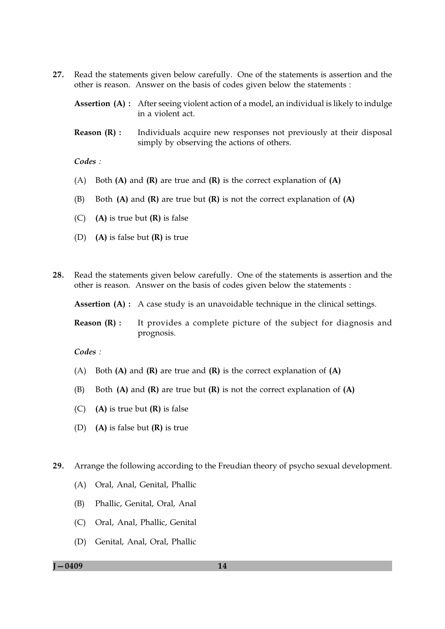- 27. Read the statements given below carefully. One of the statements is assertion and the other is reason. Answer on the basis of codes given below the statements :
	- **Assertion (A):** After seeing violent action of a model, an individual is likely to indulge in a violent act.
	- Reason  $(R)$ : Individuals acquire new responses not previously at their disposal simply by observing the actions of others.

Codes:

- (A) Both  $(A)$  and  $(R)$  are true and  $(R)$  is the correct explanation of  $(A)$
- (B) Both  $(A)$  and  $(R)$  are true but  $(R)$  is not the correct explanation of  $(A)$
- $(C)$ (A) is true but  $(R)$  is false
- (D) (A) is false but  $(R)$  is true
- Read the statements given below carefully. One of the statements is assertion and the 28. other is reason. Answer on the basis of codes given below the statements :

**Assertion (A) :** A case study is an unavoidable technique in the clinical settings.

Reason  $(R)$  : It provides a complete picture of the subject for diagnosis and prognosis.

 $\mathcal{C}odes$ :

- (A) Both  $(A)$  and  $(R)$  are true and  $(R)$  is the correct explanation of  $(A)$
- Both  $(A)$  and  $(R)$  are true but  $(R)$  is not the correct explanation of  $(A)$  $(B)$
- $(C)$ (A) is true but  $(R)$  is false
- (D) (A) is false but  $(R)$  is true
- 29. Arrange the following according to the Freudian theory of psycho sexual development.
	- (A) Oral, Anal, Genital, Phallic
	- Phallic, Genital, Oral, Anal (B)
	- (C) Oral, Anal, Phallic, Genital
	- (D) Genital, Anal, Oral, Phallic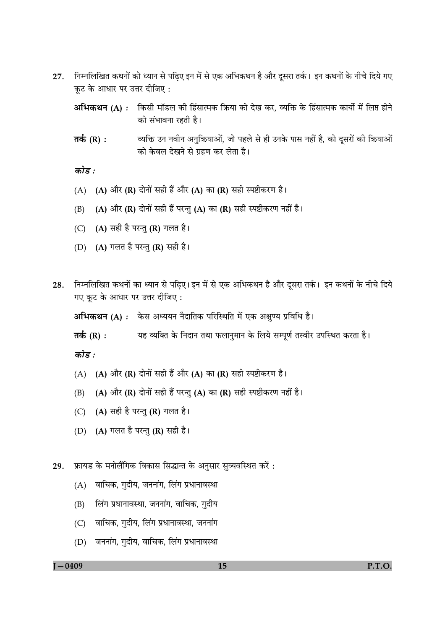- निम्नलिखित कथनों को ध्यान से पढ़िए इन में से एक अभिकथन है और दूसरा तर्क। इन कथनों के नीचे दिये गए 27. कूट के आधार पर उत्तर दीजिए:
	- अभिकथन (A) : किसी मॉडल की हिंसात्मक क्रिया को देख कर, व्यक्ति के हिंसात्मक कार्यो में लिप्त होने की संभावना रहती है।
	- व्यक्ति उन नवीन अनुक्रियाओं, जो पहले से ही उनके पास नहीं है, को दूसरों की क्रियाओं तर्क (R) : को केवल देखने से ग्रहण कर लेता है।

कोड :

- (A) (A) और (R) दोनों सही हैं और (A) का (R) सही स्पष्टीकरण है।
- (A) और (R) दोनों सही हैं परन्तु (A) का (R) सही स्पष्टीकरण नहीं है।  $(B)$
- (C)  $(A)$  सही है परन्तु (R) गलत है।
- (D) (A) गलत है परन्तु (R) सही है।
- निम्नलिखित कथनों का ध्यान से पढ़िए। इन में से एक अभिकथन है और दूसरा तर्क। इन कथनों के नीचे दिये 28. गए कूट के आधार पर उत्तर दीजिए:

अभिकथन (A) : केस अध्ययन नैदातिक परिस्थिति में एक अक्षुण्य प्रविधि है।

यह व्यक्ति के निदान तथा फलानुमान के लिये सम्पूर्ण तस्वीर उपस्थित करता है। तर्क (R) :

कोड :

- (A) (A) और (R) दोनों सही हैं और (A) का (R) सही स्पष्टीकरण है।
- (A) और (R) दोनों सही हैं परन्तु (A) का (R) सही स्पष्टीकरण नहीं है।  $(B)$
- (C) (A) सही है परन्तु (R) गलत है।
- (D) (A) गलत है परन्तु (R) सही है।

29. फ्रायड के मनोलैंगिक विकास सिद्धान्त के अनुसार सुव्यवस्थित करें:

- (A) वाचिक, गुदीय, जननांग, लिंग प्रधानावस्था
- लिंग प्रधानावस्था, जननांग, वाचिक, गुदीय  $(B)$
- (C) वाचिक, गुदीय, लिंग प्रधानावस्था, जननांग
- (D) जननांग, गुदीय, वाचिक, लिंग प्रधानावस्था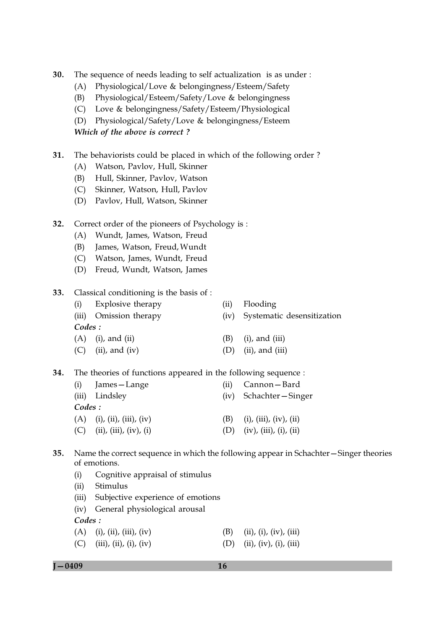- $30.$ The sequence of needs leading to self actualization is as under:
	- Physiological/Love & belongingness/Esteem/Safety  $(A)$
	- Physiological/Esteem/Safety/Love & belongingness (B)
	- (C) Love & belongingness/Safety/Esteem/Physiological
	- (D) Physiological/Safety/Love & belongingness/Esteem

Which of the above is correct?

- $31.$ The behaviorists could be placed in which of the following order?
	- (A) Watson, Pavlov, Hull, Skinner
	- Hull, Skinner, Pavlov, Watson (B)
	- (C) Skinner, Watson, Hull, Pavlov
	- (D) Pavlov, Hull, Watson, Skinner
- $32.$ Correct order of the pioneers of Psychology is:
	- (A) Wundt, James, Watson, Freud
	- James, Watson, Freud, Wundt (B)
	- (C) Watson, James, Wundt, Freud
	- (D) Freud, Wundt, Watson, James
- 33. Classical conditioning is the basis of :

|         | (i) Explosive therapy  | (ii) | Flooding                        |
|---------|------------------------|------|---------------------------------|
|         | (iii) Omission therapy |      | (iv) Systematic desensitization |
| Codes : |                        |      |                                 |
|         | $(A)$ (i), and (ii)    | (B)  | $(i)$ , and $(iii)$             |
|         | $(C)$ (ii), and (iv)   | (D)  | (ii), and (iii)                 |

34. The theories of functions appeared in the following sequence :

| (i)     | James – Lange                | (ii) | Cannon – Bard                     |
|---------|------------------------------|------|-----------------------------------|
|         | (iii) Lindsley               |      | (iv) Schachter - Singer           |
| Codes : |                              |      |                                   |
|         | $(A)$ (i), (ii), (iii), (iv) | (B)  | (i), (iii), (iv), (ii)            |
| (C)     | (ii), (iii), (iv), (i)       |      | $(iv)$ , $(iii)$ , $(i)$ , $(ii)$ |

### $35.$ Name the correct sequence in which the following appear in Schachter-Singer theories of emotions.

- Cognitive appraisal of stimulus  $(i)$
- Stimulus  $(ii)$
- (iii) Subjective experience of emotions
- (iv) General physiological arousal

Codes:

- $(A)$  (i), (ii), (iii), (iv)  $(B)$  (ii), (i), (iv), (iii)
- (C) (iii), (ii), (i), (iv) (D) (ii), (iv), (i), (iii)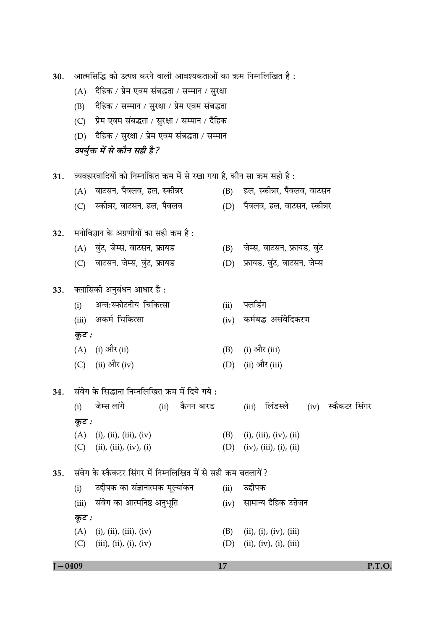| 30.        |       | आत्मसिद्धि को उत्पन्न करने वाली आवश्यकताओं का ऋम निम्नलिखित है :      |      |                                    |  |  |  |  |  |  |  |  |
|------------|-------|-----------------------------------------------------------------------|------|------------------------------------|--|--|--|--|--|--|--|--|
|            | (A)   | दैहिक / प्रेम एवम संबद्धता / सम्मान / सुरक्षा                         |      |                                    |  |  |  |  |  |  |  |  |
|            | (B)   | दैहिक / सम्मान / सुरक्षा / प्रेम एवम संबद्धता                         |      |                                    |  |  |  |  |  |  |  |  |
|            | (C)   | प्रेम एवम संबद्धता / सुरक्षा / सम्मान / दैहिक                         |      |                                    |  |  |  |  |  |  |  |  |
|            | (D)   | दैहिक / सुरक्षा / प्रेम एवम संबद्धता / सम्मान                         |      |                                    |  |  |  |  |  |  |  |  |
|            |       | उपर्युक्त में से कौन सही है?                                          |      |                                    |  |  |  |  |  |  |  |  |
| 31.        |       | व्यवहारवादियों को निम्नांकित ऋम में से रखा गया है, कौन सा ऋम सही है : |      |                                    |  |  |  |  |  |  |  |  |
|            | (A)   | वाटसन, पैवलव, हल, स्कीन्नर                                            | (B)  | हल, स्कीन्नर, पैवलव, वाटसन         |  |  |  |  |  |  |  |  |
|            | (C)   | स्कोन्नर, वाटसन, हल, पैवलव                                            |      | (D) पैवलव, हल, वाटसन, स्कीन्नर     |  |  |  |  |  |  |  |  |
| 32.        |       | मनोविज्ञान के अग्रणीयों का सही ऋम है:                                 |      |                                    |  |  |  |  |  |  |  |  |
|            |       | (A) वुंट, जेम्स, वाटसन, फ्रायड                                        | (B)  | जेम्स, वाटसन, फ्रायड, वुंट         |  |  |  |  |  |  |  |  |
|            | (C)   | वाटसन, जेम्स, वुंट, फ्रायड                                            | (D)  | फ्रायड, वुंट, वाटसन, जेम्स         |  |  |  |  |  |  |  |  |
| 33.        |       | क्लासिकी अनुबंधन आधार है :                                            |      |                                    |  |  |  |  |  |  |  |  |
|            | (i)   | अन्त:स्फोटनीय चिकित्सा                                                | (ii) | फ्लडिंग                            |  |  |  |  |  |  |  |  |
|            |       | (iii) अकर्म चिकित्सा                                                  | (iv) | कर्मबद्ध असंवेदिकरण                |  |  |  |  |  |  |  |  |
|            | कूट : |                                                                       |      |                                    |  |  |  |  |  |  |  |  |
|            |       | $(A)$ (i) और (ii)                                                     | (B)  | (i) और (iii)                       |  |  |  |  |  |  |  |  |
|            |       | (C) (ii) और (iv)                                                      | (D)  | (ii) और (iii)                      |  |  |  |  |  |  |  |  |
|            |       | 34. संवेग के सिद्धान्त निम्नलिखित क्रम में दिये गये :                 |      |                                    |  |  |  |  |  |  |  |  |
|            | (i)   | जेम्स लांगे<br>(ii) कैनन बारड                                         |      | (iii) लिंडस्ले  (iv) स्कैकटर सिंगर |  |  |  |  |  |  |  |  |
|            | कूट : |                                                                       |      |                                    |  |  |  |  |  |  |  |  |
|            |       | $(A)$ (i), (ii), (iii), (iv)                                          | (B)  | $(i)$ , $(iii)$ , $(iv)$ , $(ii)$  |  |  |  |  |  |  |  |  |
|            |       | (C) (ii), (iii), (iv), (i)                                            | (D)  | (iv), (iii), (i), (ii)             |  |  |  |  |  |  |  |  |
| 35.        |       | संवेग के स्कैकटर सिंगर में निम्नलिखित में से सही क्रम बतलायें ?       |      |                                    |  |  |  |  |  |  |  |  |
|            | (i)   | उद्दीपक का संज्ञानात्मक मूल्यांकन                                     | (ii) | उद्दीपक                            |  |  |  |  |  |  |  |  |
|            | (iii) | संवेग का आत्मनिष्ठ अनुभूति                                            | (iv) | सामान्य दैहिक उत्तेजन              |  |  |  |  |  |  |  |  |
|            | कूट : |                                                                       |      |                                    |  |  |  |  |  |  |  |  |
|            |       | $(A)$ (i), (ii), (iii), (iv)                                          | (B)  | (ii), (i), (iv), (iii)             |  |  |  |  |  |  |  |  |
|            |       | (C) $(iii)$ , $(ii)$ , $(i)$ , $(iv)$                                 | (D)  | (ii), (iv), (i), (iii)             |  |  |  |  |  |  |  |  |
| $J - 0409$ |       |                                                                       | 17   | P.T.O.                             |  |  |  |  |  |  |  |  |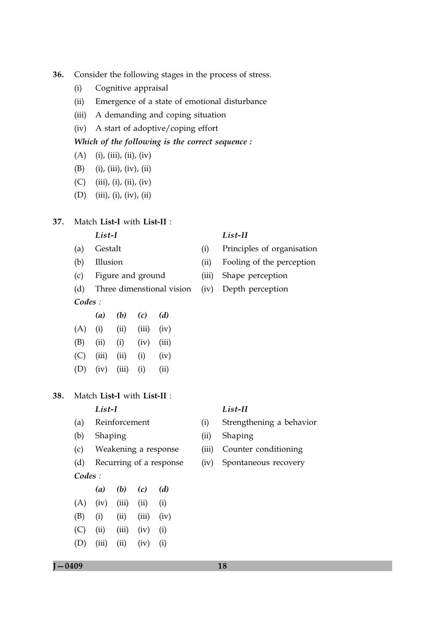- 36. Consider the following stages in the process of stress.
	- Cognitive appraisal  $(i)$
	- Emergence of a state of emotional disturbance  $(ii)$
	- (iii) A demanding and coping situation
	- (iv) A start of adoptive/coping effort

### Which of the following is the correct sequence :

- $(A)$  (i), (iii), (ii), (iv)
- $(B)$  $(i)$ ,  $(iii)$ ,  $(iv)$ ,  $(ii)$
- $(C)$  $(iii), (i), (ii), (iv)$
- $(D)$  $(iii), (i), (iv), (ii)$

#### 37. Match List-I with List-II :

## $List-I$

- $(a)$ Gestalt
- Illusion  $(b)$
- Figure and ground  $(c)$
- $(d)$ Three dimenstional vision  $Codes:$

|     | $\left(a\right)$ | (b)   | (c)   | (d)   |
|-----|------------------|-------|-------|-------|
| (A) | (i)              | (ii)  | (iii) | (iv)  |
| (B) | (ii)             | (i)   | (iv)  | (iii) |
| (C) | (iii)            | (ii)  | (i)   | (iv)  |
| (D) | (iv)             | (iii) | (i)   | (ii)  |

#### Match List-I with List-II : 38.

# $List-I$

- Reinforcement  $(a)$
- $(b)$ Shaping
- Weakening a response  $(c)$
- $(d)$ Recurring of a response Codes:
- $(b)$  $(c)$  $(d)$  $(a)$  $(A)$  (iv) (iii) (ii)  $(i)$  $(B)$  $(iii)$   $(iv)$  $(i)$  $(ii)$  $(C)$  $(ii)$  $(iii)$  $(iv)$  $(i)$
- $(D)$  $(iii)$  $(ii)$  $(iv)$  (i)

# $List-II$

 $(i)$ 

- Principles of organisation
- $(ii)$ Fooling of the perception
- (iii) Shape perception
- (iv) Depth perception

### $List-II$

- $(i)$ Strengthening a behavior
- $(ii)$ Shaping
- (iii) Counter conditioning
- $(iv)$ Spontaneous recovery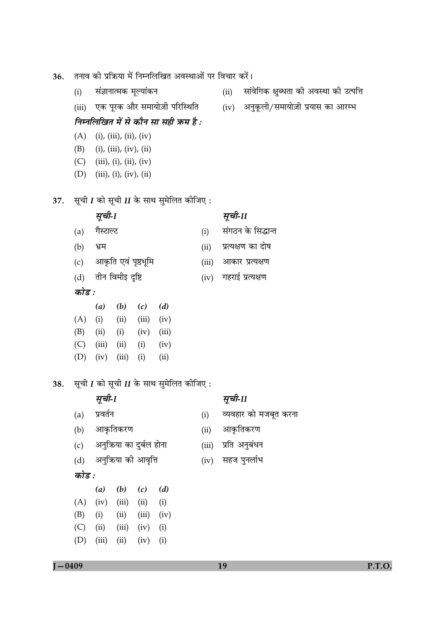- तनाव की प्रक्रिया में निम्नलिखित अवस्थाओं पर विचार करें। 36.
	- संज्ञानात्मक मूल्यांकन  $(i)$
	- एक पूरक और समायोज़ी परिस्थिति  $(iii)$
	- निम्नलिखित में से कौन सा सही क्रम है :
	- $(i)$ ,  $(iii)$ ,  $(ii)$ ,  $(iv)$  $(A)$
	- $(B)$  $(i)$ ,  $(iii)$ ,  $(iv)$ ,  $(ii)$
	- $(C)$  $(iii), (i), (ii), (iv)$
	- $(D)$  $(iii), (i), (iv), (ii)$
- सूची  $I$  को सूची  $II$  के साथ सुमेलित कीजिए : 37.
	- सूची-1
- सूची-11
- गैस्टाल्ट संगठन के सिद्धान्त  $(i)$  $(a)$  $(b)$ भ्रम प्रत्यक्षण का दोष  $(ii)$ आकृति एवं पृष्ठभूमि (iii) आकार प्रत्यक्षण  $(c)$ तीन विमीइ दृष्टि  $(iv)$  गहराई प्रत्यक्षण  $(d)$ कोड :
- 
- $(a)$  $(b)$  $(c)$  $(d)$  $(A)$  (i)  $(ii)$   $(iii)$  $(iv)$  $(B)$  $(ii)$  $(i)$  $(iv)$  $(iii)$  $(C)$  $(iii)$  $(ii)$  $(i)$  $(iv)$  $(D)$  $(iv)$  $(iii)$  $(i)$  $(ii)$
- सूची  $I$  को सूची  $II$  के साथ सुमेलित कीजिए : 38.
	- सूची-1
	- प्रवर्तन  $(a)$
	- आकृतिकरण  $(b)$
	- अनुक्रिया का दुर्बल होना  $(c)$
	- अनुक्रिया की आवृत्ति  $(d)$
- आकृतिकरण  $(ii)$

सूची-II

 $(i)$ 

व्यवहार को मजबूत करना

- प्रति अनुबंधन  $(iii)$
- सहज पुनर्लाभ  $(iv)$

- कोड :
- $(a)$  $(b)$  $(c)$  $(d)$  $(A)$  (iv) (iii) (ii)  $(i)$  $(B)$  $(i)$  $(ii)$  $(iii)$  $(iv)$
- $(i)$
- $(C)$  $(ii)$  $(iii)$  $(iv)$
- $(D)$  $(iii)$  $(ii)$  $(iv)$  $(i)$
- 
- सांवेगिक क्षुब्धता की अवस्था को उत्पत्ति  $(ii)$
- (iv) अनुकूली/समायोज़ी प्रयास का आरम्भ

- 
-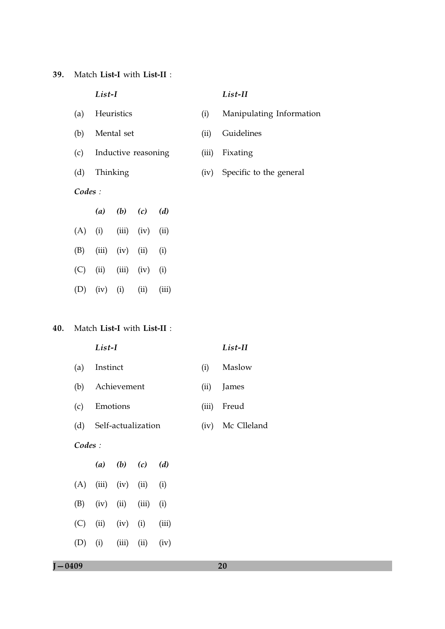39. Match List-I with List-II :

|        | List-I   |             |                     |       |       | List-II                  |
|--------|----------|-------------|---------------------|-------|-------|--------------------------|
| (a)    |          | Heuristics  |                     |       | (i)   | Manipulating Information |
| (b)    |          | Mental set  |                     |       | (ii)  | Guidelines               |
| (c)    |          |             | Inductive reasoning |       | (iii) | Fixating                 |
| (d)    | Thinking |             |                     |       |       | Specific to the general  |
| Codes: |          |             |                     |       |       |                          |
|        | (a)      | $(b)$ $(c)$ |                     | (d)   |       |                          |
| (A)    | (i)      | (iii)       | (iv)                | (ii)  |       |                          |
| (B)    | (iii)    | (iv)        | (ii)                | (i)   |       |                          |
| (C)    | (ii)     | (iii)       | (iv)                | (i)   |       |                          |
| (D)    | (iv)     | (i)         | (ii)                | (iii) |       |                          |
|        |          |             |                     |       |       |                          |

# 40. Match List-I with List-II :

|        | List-I                                        |       | List-II     |  |  |  |  |
|--------|-----------------------------------------------|-------|-------------|--|--|--|--|
| (a)    | Instinct                                      | (i)   | Maslow      |  |  |  |  |
| (b)    | Achievement                                   | (ii)  | James       |  |  |  |  |
| (c)    | Emotions                                      | (iii) | Freud       |  |  |  |  |
| (d)    | Self-actualization                            | (iv)  | Mc Clleland |  |  |  |  |
| Codes: |                                               |       |             |  |  |  |  |
|        | ( <i>a</i> ) ( <i>b</i> ) ( <i>c</i> )<br>(d) |       |             |  |  |  |  |

| (A) | (iii) | (iv)  | (ii)  | (i)   |
|-----|-------|-------|-------|-------|
| (B) | (iv)  | (ii)  | (iii) | (i)   |
| (C) | (ii)  | (iv)  | (i)   | (iii) |
| (D) | (i)   | (iii) | (ii)  | (iv)  |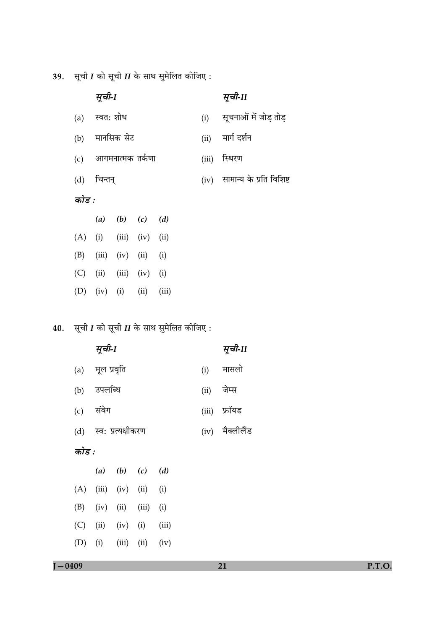39. सूची  $I$  को सूची  $II$  के साथ सुमेलित कीजिए:

|       | सूची-1        |                      |                |      |       | सूची-11                  |
|-------|---------------|----------------------|----------------|------|-------|--------------------------|
|       | (a) स्वत: शोध |                      |                |      | (i)   | सूचनाओं में जोड़ तोड़    |
| (b)   |               | मानसिक सेट           |                |      | (ii)  | मार्ग दर्शन              |
|       |               | (c) आगमनात्मक तर्कणा |                |      | (iii) | स्थिरण                   |
|       | (d) चिन्तन्   |                      |                |      | (iv)  | सामान्य के प्रति विशिष्ट |
| कोड : |               |                      |                |      |       |                          |
|       |               | (a) (b) (c) (d)      |                |      |       |                          |
| (A)   | (i)           |                      | $(iii)$ $(iv)$ | (ii) |       |                          |
| (B)   |               | $(iii)$ $(iv)$       | (ii)           | (i)  |       |                          |
| (C)   | (ii)          |                      | $(iii)$ $(iv)$ | (i)  |       |                          |

# **40.** सूची I को सूची II के साथ सुमेलित कीजिए :

(D) (iv) (i) (ii) (iii)

|       | सूची-1                 |                       |             |       |              | सूची-11         |  |  |
|-------|------------------------|-----------------------|-------------|-------|--------------|-----------------|--|--|
|       | (a) मूल प्रवृति        |                       |             |       | (i)          | मासलो           |  |  |
|       | (b) उपलब्धि            |                       |             |       |              | (ii) जेम्स      |  |  |
|       | (c) संवेग              |                       |             |       | (iii) फ्रॉयड |                 |  |  |
|       | (d) स्व: प्रत्यक्षीकरण |                       |             |       |              | (iv) मैक्लीलैंड |  |  |
| कोड : |                        |                       |             |       |              |                 |  |  |
|       |                        |                       | (a) (b) (c) | (d)   |              |                 |  |  |
| (A)   |                        | $(iii)$ $(iv)$ $(ii)$ |             | (i)   |              |                 |  |  |
| (B)   | $(iv)$ (ii)            |                       | (iii)       | (i)   |              |                 |  |  |
| (C)   |                        | $(ii)$ $(iv)$ $(i)$   |             | (iii) |              |                 |  |  |

 $(iv)$ 

 $J - 0409$ 

 $(D)$  (i)

 $(iii)$   $(ii)$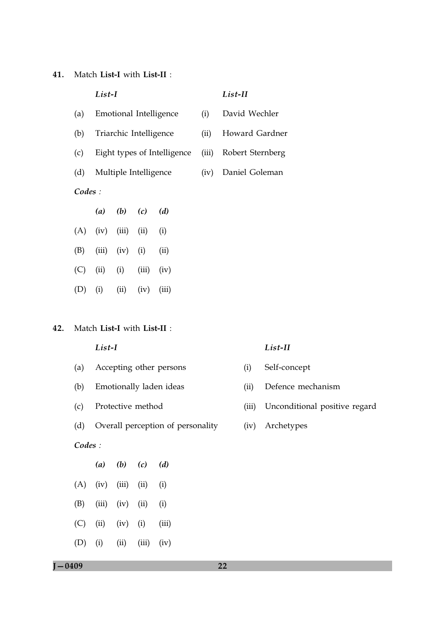41. Match List-I with List-II :

|        | List-I |                        |               | List-II                     |       |                  |
|--------|--------|------------------------|---------------|-----------------------------|-------|------------------|
| (a)    |        |                        |               | Emotional Intelligence      | (i)   | David Wechler    |
| (b)    |        | Triarchic Intelligence |               |                             | (ii)  | Howard Gardner   |
| (c)    |        |                        |               | Eight types of Intelligence | (iii) | Robert Sternberg |
| (d)    |        | Multiple Intelligence  |               |                             | (iv)  | Daniel Goleman   |
| Codes: |        |                        |               |                             |       |                  |
|        |        | (a) (b) (c)            |               | (d)                         |       |                  |
| (A)    | (iv)   | (iii)                  | (ii)          | (i)                         |       |                  |
| (B)    | (iii)  | (iv)                   | (i)           | (ii)                        |       |                  |
| (C)    | (ii)   | (iii)<br>(i)<br>(iv)   |               |                             |       |                  |
| (D)    | (i)    | (ii)                   | (iv)<br>(iii) |                             |       |                  |
|        |        |                        |               |                             |       |                  |

#### 42. Match List-I with List-II :

# $List-I$

- Accepting other persons  $(a)$
- $(b)$ Emotionally laden ideas
- Protective method  $(c)$
- $(d)$ Overall perception of personality

# Codes:

|     | $\left(a\right)$ | (b)   | (c)   | (d)   |
|-----|------------------|-------|-------|-------|
| (A) | (iv)             | (iii) | (ii)  | (i)   |
| (B) | (iii)            | (iv)  | (ii)  | (i)   |
| (C) | (ii)             | (iv)  | (i)   | (iii) |
| (D) | (i)              | (ii)  | (iii) | (iv)  |

## $List-II$

- Self-concept  $(i)$
- Defence mechanism  $(ii)$
- (iii) Unconditional positive regard
- (iv) Archetypes

 $J - 0409$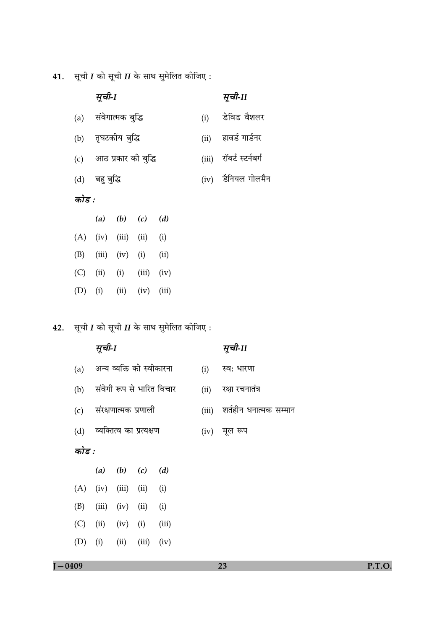**41.** सूची I को सूची II के साथ सुमेलित कीजिए :

|       | सूची-1                   |       | सूची-11            |  |  |  |  |  |  |
|-------|--------------------------|-------|--------------------|--|--|--|--|--|--|
| (a)   | संवेगात्मक बुद्धि        | (i)   | डेविड वैशलर        |  |  |  |  |  |  |
| (b)   | तृघटकीय बुद्धि           | (ii)  | हावर्ड गार्डनर     |  |  |  |  |  |  |
|       | (c) आठ प्रकार को बुद्धि  | (iii) | रॉबर्ट स्टर्नबर्ग  |  |  |  |  |  |  |
|       | (d) बहुवुद्धि            |       | (iv) डैनियल गोलमैन |  |  |  |  |  |  |
| कोड : |                          |       |                    |  |  |  |  |  |  |
|       | $(b)$ $(c)$ $(d)$<br>(a) |       |                    |  |  |  |  |  |  |

|           | $\ddot{\phantom{a}}$  | $\sqrt{2}$ | $\sqrt{2}$ | $\sqrt{2}$ |
|-----------|-----------------------|------------|------------|------------|
|           | $(A)$ (iv) (iii) (ii) |            |            | (i)        |
| (B)       | $(iii)$ $(iv)$        |            | (i)        | (ii)       |
| (C)       | (ii)                  | (i)        | (iii)      | (iv)       |
| $(D)$ (i) |                       | (ii)       | (iv)       | (iii)      |

42. सूची  $I$  को सूची  $II$  के साथ सुमेलित कीजिए :

|       | सूची-1                |                                        |                              | सूची-II                   |       |                        |
|-------|-----------------------|----------------------------------------|------------------------------|---------------------------|-------|------------------------|
| (a)   |                       |                                        | अन्य व्यक्ति को स्वीकारना    |                           | (i)   | स्व: धारणा             |
| (b)   |                       |                                        |                              | संवेगी रूप से भारित विचार | (ii)  | रक्षा रचनातंत्र        |
|       |                       |                                        | (c) संरक्षणात्मक प्रणाली     |                           | (iii) | शर्तहीन धनात्मक सम्मान |
|       |                       |                                        | (d) व्यक्तित्व का प्रत्यक्षण |                           |       | $(iv)$ मूल रूप         |
| कोड : |                       |                                        |                              |                           |       |                        |
|       |                       | ( <i>a</i> ) ( <i>b</i> ) ( <i>c</i> ) |                              | (d)                       |       |                        |
|       | $(A)$ (iv) (iii) (ii) |                                        |                              | (i)                       |       |                        |
| (B)   |                       | $(iii)$ $(iv)$ $(ii)$                  |                              | (i)                       |       |                        |
| (C)   | (ii)                  | $(iv)$ (i)                             |                              | (iii)                     |       |                        |
| (D)   | (i)                   | (ii)                                   | (iii)                        | (iv)                      |       |                        |

 $J - 0409$ 

23

P.T.O.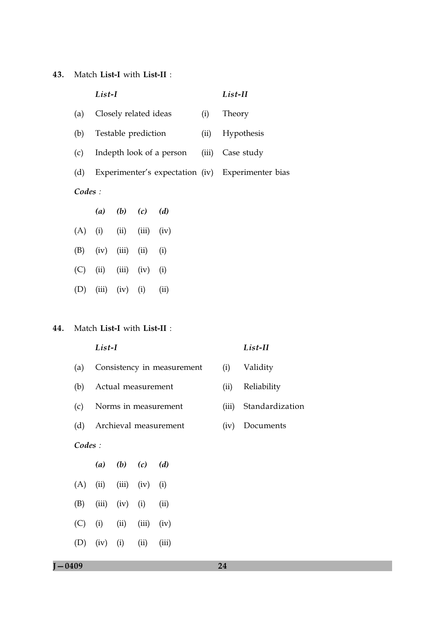43. Match List-I with List-II :

|        | List-I |                                        |                       | List-II                  |       |                                                   |
|--------|--------|----------------------------------------|-----------------------|--------------------------|-------|---------------------------------------------------|
| (a)    |        |                                        | Closely related ideas |                          | (i)   | Theory                                            |
| (b)    |        |                                        | Testable prediction   |                          | (ii)  | Hypothesis                                        |
| (c)    |        |                                        |                       | Indepth look of a person | (iii) | Case study                                        |
| (d)    |        |                                        |                       |                          |       | Experimenter's expectation (iv) Experimenter bias |
| Codes: |        |                                        |                       |                          |       |                                                   |
|        |        | ( <i>a</i> ) ( <i>b</i> ) ( <i>c</i> ) |                       | (d)                      |       |                                                   |
| (A)    | (i)    | (ii)                                   | (iii)                 | (iv)                     |       |                                                   |
| (B)    | (iv)   | (iii)                                  | (ii)                  | (i)                      |       |                                                   |
| (C)    | (ii)   | (iii)                                  | (iv)                  | (i)                      |       |                                                   |
| (D)    | (iii)  | (iv)                                   | (i)                   | (ii)                     |       |                                                   |

# 44. Match List-I with List-II :

|        | List-I |                                        | List-II |                            |       |                 |  |  |  |  |
|--------|--------|----------------------------------------|---------|----------------------------|-------|-----------------|--|--|--|--|
| (a)    |        |                                        |         | Consistency in measurement | (i)   | Validity        |  |  |  |  |
| (b)    |        | Actual measurement                     |         |                            | (ii)  | Reliability     |  |  |  |  |
| (c)    |        |                                        |         | Norms in measurement       | (iii) | Standardization |  |  |  |  |
| (d)    |        |                                        |         | Archieval measurement      | (iv)  | Documents       |  |  |  |  |
| Codes: |        |                                        |         |                            |       |                 |  |  |  |  |
|        |        | ( <i>a</i> ) ( <i>b</i> ) ( <i>c</i> ) |         | (d)                        |       |                 |  |  |  |  |
| (A)    | (ii)   | (iii)                                  | (iv)    | (i)                        |       |                 |  |  |  |  |
| (B)    | (iii)  | (iv)                                   | (i)     | (ii)                       |       |                 |  |  |  |  |
| (C)    | (i)    | (ii)                                   | (iii)   | (iv)                       |       |                 |  |  |  |  |

 $(ii)$   $(iii)$ 

 $J - 0409$ 

(D) (iv) (i)

 $24$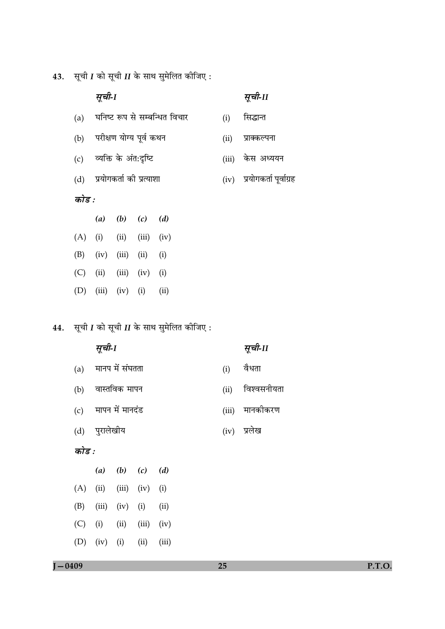**43.** सूची I को सूची II के साथ सुमेलित कीजिए:

# सूची-1

- (a) घनिष्ट रूप से सम्बन्धित विचार
- परीक्षण योग्य पूर्व कथन  $(b)$
- व्यक्ति के अंत:दृष्टि  $(c)$
- (d) प्रयोगकर्ता की प्रत्याशा

# कोड :

|     | (a) |                             | $(b)$ $(c)$ | (d) |
|-----|-----|-----------------------------|-------------|-----|
|     |     | $(A)$ (i) (ii) (iii) (iv)   |             |     |
| (B) |     | $(iv)$ $(iii)$ $(ii)$ $(i)$ |             |     |
| (C) |     | $(ii)$ $(iii)$ $(iv)$ $(i)$ |             |     |
|     |     | (D) (iii) (iv) (i) (ii)     |             |     |

**44.** सूची I को सूची II के साथ सुमेलित कीजिए:

|       | सूची-1        |                 |                |       |          |      | सूची-11     |
|-------|---------------|-----------------|----------------|-------|----------|------|-------------|
| (a)   |               | मानप में संघतता |                | (i)   | वैधता    |      |             |
| (b)   |               | वास्तविक मापन   |                |       |          | (ii) | विश्वसनीयता |
| (c)   |               | मापन में मानदंड |                | (iii) | मानकीकरण |      |             |
|       | (d) पुरालेखीय |                 | प्रलेख<br>(iv) |       |          |      |             |
| कोड : |               |                 |                |       |          |      |             |
|       | (a)           | $(b)$ $(c)$     |                | (d)   |          |      |             |
| (A)   | (ii)          | (iii)           | (iv)           | (i)   |          |      |             |
| (B)   | (iii)         | (iv)            | (i)            | (ii)  |          |      |             |
| (C)   | (i)           | (ii)            | (iii)          | (iv)  |          |      |             |
| (D)   | (iv)          | (i)             | (ii)           | (iii) |          |      |             |

- सूची-11
- सिद्धान्त  $(i)$
- 
- (ii) प्राक्कल्पना
- (iii) केस अध्ययन
- 
- (iv) प्रयोगकर्ता पूर्वाग्रह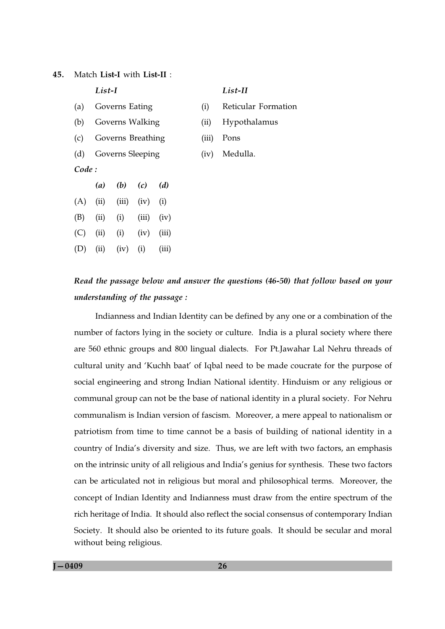Match List-I with List-II : 45

|       | List-I |                   |             | List-II |       |                     |
|-------|--------|-------------------|-------------|---------|-------|---------------------|
| (a)   |        | Governs Eating    |             |         | (i)   | Reticular Formation |
| (b)   |        | Governs Walking   |             |         | (ii)  | Hypothalamus        |
| (c)   |        | Governs Breathing |             |         | (iii) | Pons                |
| (d)   |        | Governs Sleeping  |             |         | (iv)  | Medulla.            |
| Code: |        |                   |             |         |       |                     |
|       | (a)    |                   | $(b)$ $(c)$ | (d)     |       |                     |
| (A)   | (ii)   | (iii)             | (iv)        | (i)     |       |                     |
| (B)   | (ii)   | (i)               | (iii)       | (iv)    |       |                     |
| (C)   | (ii)   | (i)               | (iv)        | (iii)   |       |                     |
| (D)   | (ii)   | (iv)              | (i)         | (iii)   |       |                     |
|       |        |                   |             |         |       |                     |

# Read the passage below and answer the questions (46-50) that follow based on your understanding of the passage:

Indianness and Indian Identity can be defined by any one or a combination of the number of factors lying in the society or culture. India is a plural society where there are 560 ethnic groups and 800 lingual dialects. For Pt.Jawahar Lal Nehru threads of cultural unity and 'Kuchh baat' of Igbal need to be made coucrate for the purpose of social engineering and strong Indian National identity. Hinduism or any religious or communal group can not be the base of national identity in a plural society. For Nehru communalism is Indian version of fascism. Moreover, a mere appeal to nationalism or patriotism from time to time cannot be a basis of building of national identity in a country of India's diversity and size. Thus, we are left with two factors, an emphasis on the intrinsic unity of all religious and India's genius for synthesis. These two factors can be articulated not in religious but moral and philosophical terms. Moreover, the concept of Indian Identity and Indianness must draw from the entire spectrum of the rich heritage of India. It should also reflect the social consensus of contemporary Indian Society. It should also be oriented to its future goals. It should be secular and moral without being religious.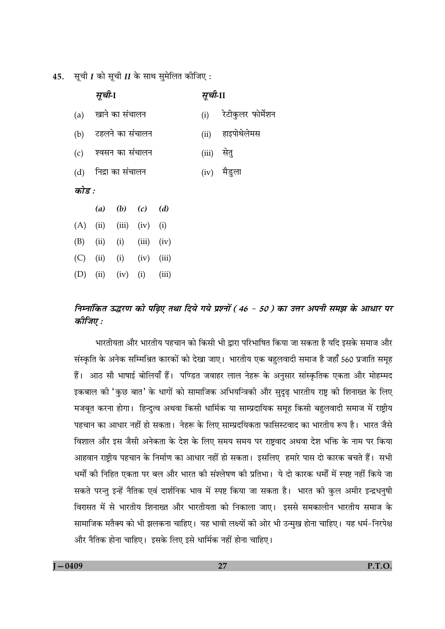45. सूची I को सूची II के साथ सुमेलित कीजिए:

|       |     | सूची-1               |                 |                 | सूची-II |                   |             |  |  |  |
|-------|-----|----------------------|-----------------|-----------------|---------|-------------------|-------------|--|--|--|
|       |     | (a) खाने का संचालन   |                 |                 | (i)     | रेटीकुलर फोर्मेशन |             |  |  |  |
|       | (b) |                      | टहलने का संचालन |                 |         | (ii)              | हाइपोथेलेमस |  |  |  |
|       | (c) | श्वसन का संचालन      |                 |                 | (iii)   | सेतु              |             |  |  |  |
|       |     | (d) निद्रा का संचालन |                 |                 |         | (iv) मैडुला       |             |  |  |  |
| कोड : |     |                      |                 |                 |         |                   |             |  |  |  |
|       |     |                      |                 | (a) (b) (c) (d) |         |                   |             |  |  |  |
|       | (A) | (ii)                 |                 | $(iii)$ $(iv)$  | (i)     |                   |             |  |  |  |
|       | (B) | (ii)                 | (i)             | (iii)           | (iv)    |                   |             |  |  |  |
|       | (C) | (ii)                 | $(i)$ $(iv)$    |                 | (iii)   |                   |             |  |  |  |
|       | (D) | (ii)                 | (iv)            | (i)             | (iii)   |                   |             |  |  |  |
|       |     |                      |                 |                 |         |                   |             |  |  |  |

# निम्नांकित उद्धरण को पढ़िए तथा दिये गये प्रश्नों (46 - 50 ) का उत्तर अपनी समझ के आधार पर कीजिए :

भारतीयता और भारतीय पहचान को किसी भी द्वारा परिभाषित किया जा सकता है यदि इसके समाज और संस्कृति के अनेक सम्मिश्रित कारकों को देखा जाए। भारतीय एक बहुलवादी समाज है जहाँ 560 प्रजाति समूह हैं। आठ सौ भाषाई बोलियाँ हैं। पण्डित जवाहर लाल नेहरू के अनुसार सांस्कृतिक एकता और मोहम्मद इकबाल की 'कुछ बात' के धागों को सामाजिक अभियन्त्रिकी और सुदृढ़ भारतीय राष्ट्र की शिनाख्त के लिए मजबूत करना होगा। हिन्दुत्व अथवा किसी धार्मिक या साम्प्रदायिक समूह किसी बहुलवादी समाज में राष्ट्रीय पहचान का आधार नहीं हो सकता। नेहरू के लिए साम्प्रदयिकता फासिस्टवाद का भारतीय रूप है। भारत जैसे विशाल और इस जैसी अनेकता के देश के लिए समय समय पर राष्ट्रवाद अथवा देश भक्ति के नाम पर किया आहवान राष्ट्रीय पहचान के निर्माण का आधार नहीं हो सकता। इसलिए हमारे पास दो कारक बचते हैं। सभी धर्मों की निहित एकता पर बल और भारत की संश्लेषण की प्रतिभा। ये दो कारक धर्मों में स्पष्ट नहीं किये जा सकते परन्तु इन्हें नैतिक एवं दार्शनिक भाव में स्पष्ट किया जा सकता है। भारत की कुल अमीर इन्द्रधनुषी विरासत में से भारतीय शिनाख्त और भारतीयता को निकाला जाए। इससे समकालीन भारतीय समाज के सामाजिक मतैक्य को भी झलकना चाहिए। यह भावी लक्ष्यों की ओर भी उन्मुख होना चाहिए। यह धर्म–निरपेक्ष और नैतिक होना चाहिए। इसके लिए इसे धार्मिक नहीं होना चाहिए।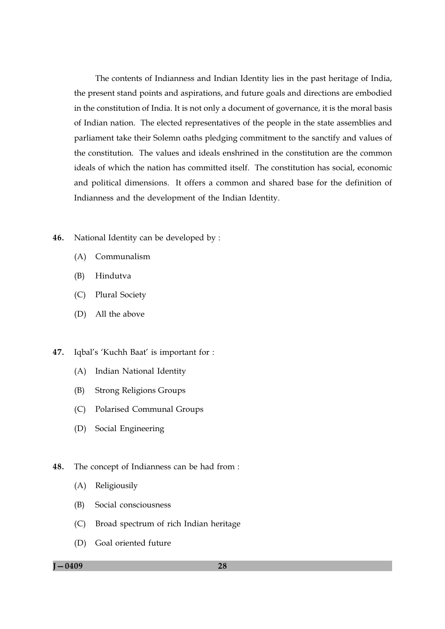The contents of Indianness and Indian Identity lies in the past heritage of India, the present stand points and aspirations, and future goals and directions are embodied in the constitution of India. It is not only a document of governance, it is the moral basis of Indian nation. The elected representatives of the people in the state assemblies and parliament take their Solemn oaths pledging commitment to the sanctify and values of the constitution. The values and ideals enshrined in the constitution are the common ideals of which the nation has committed itself. The constitution has social, economic and political dimensions. It offers a common and shared base for the definition of Indianness and the development of the Indian Identity.

- 46. National Identity can be developed by :
	- (A) Communalism
	- (B) Hindutva
	- $(C)$ **Plural Society**
	- (D) All the above
- 47. Iqbal's 'Kuchh Baat' is important for :
	- (A) Indian National Identity
	- (B) **Strong Religions Groups**
	- (C) Polarised Communal Groups
	- (D) Social Engineering
- 48. The concept of Indianness can be had from :
	- $(A)$ Religiousily
	- (B) Social consciousness
	- (C) Broad spectrum of rich Indian heritage
	- (D) Goal oriented future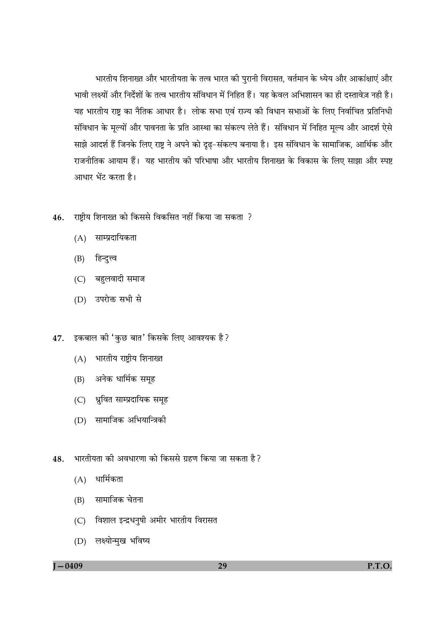भारतीय शिनाख्त और भारतीयता के तत्व भारत की पुरानी विरासत, वर्तमान के ध्येय और आकांक्षाएं और भावी लक्ष्यों और निर्देशों के तत्व भारतीय संविधान में निहित हैं। यह केवल अभिशासन का ही दस्तावेज़ नही है। यह भारतीय राष्ट का नैतिक आधार है। लोक सभा एवं राज्य की विधान सभाओं के लिए निर्वाचित प्रतिनिधी संविधान के मूल्यों और पावनता के प्रति आस्था का संकल्प लेते हैं। संविधान में निहित मूल्य और आदर्श ऐसे साझे आदर्श हैं जिनके लिए राष्ट्र ने अपने को दृढ़-संकल्प बनाया है। इस संविधान के सामाजिक, आर्थिक और राजनीतिक आयाम हैं। यह भारतीय की परिभाषा और भारतीय शिनाख्त के विकास के लिए साझा और स्पष्ट आधार भेंट करता है।

- 46. राष्टीय शिनाख्त को किससे विकसित नहीं किया जा सकता ?
	- (A) साम्प्रदायिकता
	- (B) हिन्दुत्त्व
	- (C) बहुलवादी समाज
	- (D) उपरोक्त सभी से
- 47. इकबाल की 'कुछ बात' किसके लिए आवश्यक है?
	- (A) भारतीय राष्ट्रीय शिनाख्त
	- (B) अनेक धार्मिक समूह
	- (C) ध्रुवित साम्प्रदायिक समूह
	- (D) सामाजिक अभियान्त्रिकी
- भारतीयता की अवधारणा को किससे ग्रहण किया जा सकता है? 48.
	- $(A)$  धार्मिकता
	- (B) सामाजिक चेतना
	- (C) विशाल इन्द्रधनुषी अमीर भारतीय विरासत
	- (D) लक्ष्योन्मुख भविष्य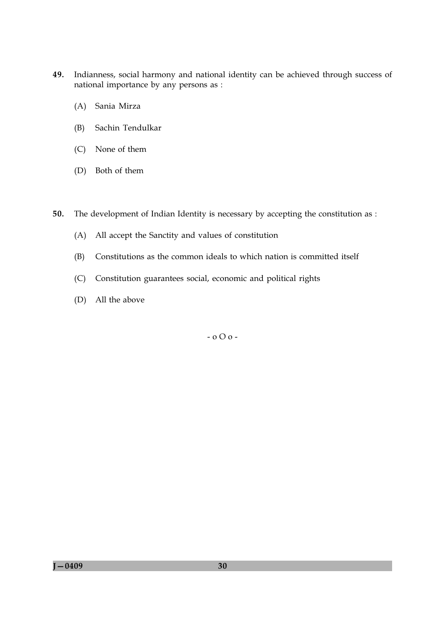- 49. Indianness, social harmony and national identity can be achieved through success of national importance by any persons as :
	- (A) Sania Mirza
	- Sachin Tendulkar (B)
	- (C) None of them
	- (D) Both of them

50. The development of Indian Identity is necessary by accepting the constitution as :

- (A) All accept the Sanctity and values of constitution
- Constitutions as the common ideals to which nation is committed itself (B)
- Constitution guarantees social, economic and political rights  $(C)$
- (D) All the above

 $-000-$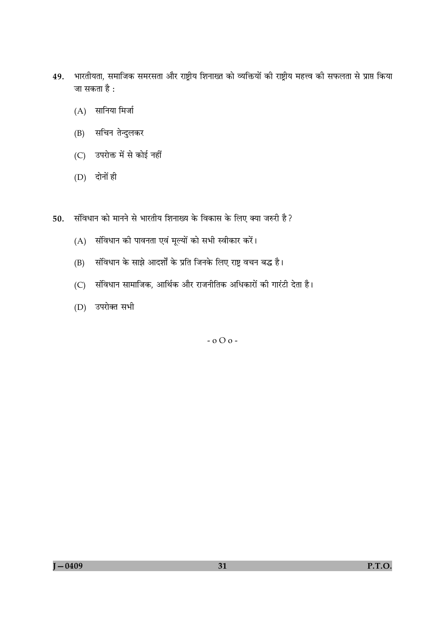- 49. भारतीयता, समाजिक समरसता और राष्ट्रीय शिनाख्त को व्यक्तियों की राष्ट्रीय महत्त्व की सफलता से प्राप्त किया जा सकता है :
	- $(A)$  सानिया मिर्जा
	- (B) सचिन तेन्दुलकर
	- (C) उपरोक्त में से कोई नहीं
	- $(D)$  दोनों ही
- 50. संविधान को मानने से भारतीय शिनाख्य के विकास के लिए क्या जरुरी है?
	- (A) संविधान की पावनता एवं मूल्यों को सभी स्वीकार करें।
	- संविधान के साझे आदर्शों के प्रति जिनके लिए राष्ट्र वचन बद्ध है।  $(B)$
	- (C) संविधान सामाजिक, आर्थिक और राजनीतिक अधिकारों की गारंटी देता है।
	- (D) उपरोक्त सभी

 $-000-$